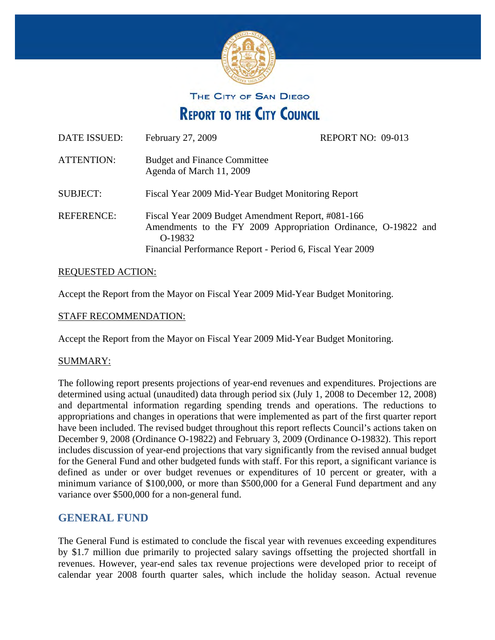

THE CITY OF SAN DIEGO

**REPORT TO THE CITY COUNCIL** 

| DATE ISSUED:      | February 27, 2009                                                                                                                                                                            | REPORT NO: 09-013 |  |
|-------------------|----------------------------------------------------------------------------------------------------------------------------------------------------------------------------------------------|-------------------|--|
| <b>ATTENTION:</b> | <b>Budget and Finance Committee</b><br>Agenda of March 11, 2009                                                                                                                              |                   |  |
| <b>SUBJECT:</b>   | Fiscal Year 2009 Mid-Year Budget Monitoring Report                                                                                                                                           |                   |  |
| <b>REFERENCE:</b> | Fiscal Year 2009 Budget Amendment Report, #081-166<br>Amendments to the FY 2009 Appropriation Ordinance, O-19822 and<br>O-19832<br>Financial Performance Report - Period 6, Fiscal Year 2009 |                   |  |

### **REQUESTED ACTION:**

Accept the Report from the Mayor on Fiscal Year 2009 Mid-Year Budget Monitoring.

## STAFF RECOMMENDATION:

Accept the Report from the Mayor on Fiscal Year 2009 Mid-Year Budget Monitoring.

### SUMMARY:

The following report presents projections of year-end revenues and expenditures. Projections are determined using actual (unaudited) data through period six (July 1, 2008 to December 12, 2008) and departmental information regarding spending trends and operations. The reductions to appropriations and changes in operations that were implemented as part of the first quarter report have been included. The revised budget throughout this report reflects Council's actions taken on December 9, 2008 (Ordinance O-19822) and February 3, 2009 (Ordinance O-19832). This report includes discussion of year-end projections that vary significantly from the revised annual budget for the General Fund and other budgeted funds with staff. For this report, a significant variance is defined as under or over budget revenues or expenditures of 10 percent or greater, with a minimum variance of \$100,000, or more than \$500,000 for a General Fund department and any variance over \$500,000 for a non-general fund.

# **GENERAL FUND**

The General Fund is estimated to conclude the fiscal year with revenues exceeding expenditures by \$1.7 million due primarily to projected salary savings offsetting the projected shortfall in revenues. However, year-end sales tax revenue projections were developed prior to receipt of calendar year 2008 fourth quarter sales, which include the holiday season. Actual revenue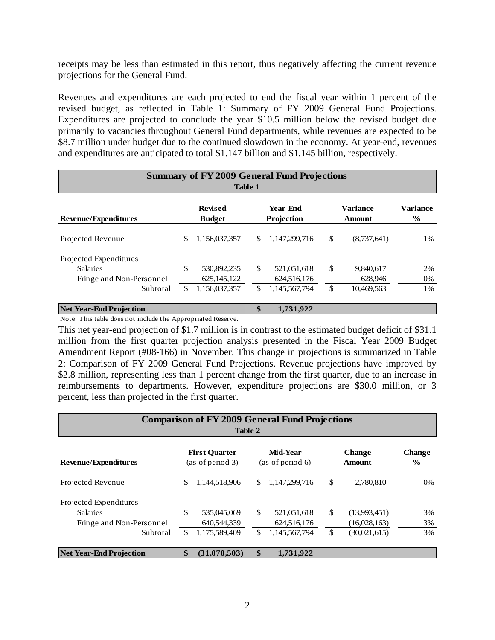receipts may be less than estimated in this report, thus negatively affecting the current revenue projections for the General Fund.

Revenues and expenditures are each projected to end the fiscal year within 1 percent of the revised budget, as reflected in Table 1: Summary of FY 2009 General Fund Projections. Expenditures are projected to conclude the year \$10.5 million below the revised budget due primarily to vacancies throughout General Fund departments, while revenues are expected to be \$8.7 million under budget due to the continued slowdown in the economy. At year-end, revenues and expenditures are anticipated to total \$1.147 billion and \$1.145 billion, respectively.

|                                | <b>Summary of FY 2009 General Fund Projections</b> |                |    |                 |               |                 |                 |  |  |  |  |
|--------------------------------|----------------------------------------------------|----------------|----|-----------------|---------------|-----------------|-----------------|--|--|--|--|
| <b>Table 1</b>                 |                                                    |                |    |                 |               |                 |                 |  |  |  |  |
|                                |                                                    | <b>Revised</b> |    | <b>Year-Fnd</b> |               | <b>Variance</b> | <b>Variance</b> |  |  |  |  |
| <b>Revenue/Expenditures</b>    |                                                    | <b>Budget</b>  |    | Projection      |               | Amount          | $\frac{6}{9}$   |  |  |  |  |
| Projected Revenue              | \$                                                 | 1,156,037,357  | S. | 1,147,299,716   | \$            | (8,737,641)     | 1%              |  |  |  |  |
| Projected Expenditures         |                                                    |                |    |                 |               |                 |                 |  |  |  |  |
| <b>Salaries</b>                | \$                                                 | 530,892,235    | \$ | 521,051,618     | \$            | 9,840,617       | 2%              |  |  |  |  |
| Fringe and Non-Personnel       |                                                    | 625, 145, 122  |    | 624,516,176     |               | 628,946         | 0%              |  |  |  |  |
| Subtotal                       | \$                                                 | 1,156,037,357  | \$ | 1,145,567,794   | <sup>\$</sup> | 10,469,563      | 1%              |  |  |  |  |
| <b>Net Year-End Projection</b> |                                                    |                | \$ | 1.731.922       |               |                 |                 |  |  |  |  |

Note: This table does not include the Appropriated Reserve.

This net year-end projection of \$1.7 million is in contrast to the estimated budget deficit of \$31.1 million from the first quarter projection analysis presented in the Fiscal Year 2009 Budget Amendment Report (#08-166) in November. This change in projections is summarized in Table 2: Comparison of FY 2009 General Fund Projections. Revenue projections have improved by \$2.8 million, representing less than 1 percent change from the first quarter, due to an increase in reimbursements to departments. However, expenditure projections are \$30.0 million, or 3 percent, less than projected in the first quarter.

| <b>Comparison of FY 2009 General Fund Projections</b><br>Table 2 |                                          |               |                                     |               |                         |              |                       |  |  |  |
|------------------------------------------------------------------|------------------------------------------|---------------|-------------------------------------|---------------|-------------------------|--------------|-----------------------|--|--|--|
| <b>Revenue/Expenditures</b>                                      | <b>First Ouarter</b><br>(as of period 3) |               | <b>Mid-Year</b><br>(as of period 6) |               | <b>Change</b><br>Amount |              | <b>Change</b><br>$\%$ |  |  |  |
| Projected Revenue                                                | \$                                       | 1,144,518,906 | S                                   | 1,147,299,716 | \$                      | 2,780,810    | 0%                    |  |  |  |
| Projected Expenditures                                           |                                          |               |                                     |               |                         |              |                       |  |  |  |
| <b>Salaries</b>                                                  | \$                                       | 535,045,069   | $\mathbb{S}$                        | 521,051,618   | \$                      | (13,993,451) | 3%                    |  |  |  |
| Fringe and Non-Personnel                                         |                                          | 640,544,339   |                                     | 624,516,176   |                         | (16,028,163) | 3%                    |  |  |  |
| Subtotal                                                         | \$.                                      | 1,175,589,409 | \$                                  | 1,145,567,794 | \$                      | (30,021,615) | 3%                    |  |  |  |
| <b>Net Year-End Projection</b>                                   | \$                                       | (31,070,503)  | \$                                  | 1,731,922     |                         |              |                       |  |  |  |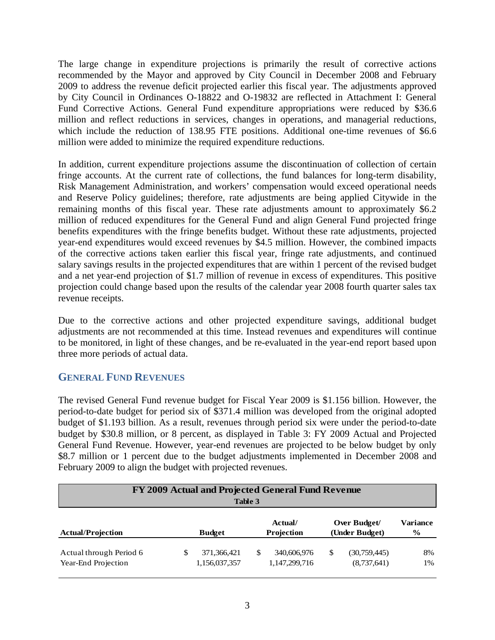The large change in expenditure projections is primarily the result of corrective actions recommended by the Mayor and approved by City Council in December 2008 and February 2009 to address the revenue deficit projected earlier this fiscal year. The adjustments approved by City Council in Ordinances O-18822 and O-19832 are reflected in Attachment I: General Fund Corrective Actions. General Fund expenditure appropriations were reduced by \$36.6 million and reflect reductions in services, changes in operations, and managerial reductions, which include the reduction of 138.95 FTE positions. Additional one-time revenues of \$6.6 million were added to minimize the required expenditure reductions.

In addition, current expenditure projections assume the discontinuation of collection of certain fringe accounts. At the current rate of collections, the fund balances for long-term disability, Risk Management Administration, and workers' compensation would exceed operational needs and Reserve Policy guidelines; therefore, rate adjustments are being applied Citywide in the remaining months of this fiscal year. These rate adjustments amount to approximately \$6.2 million of reduced expenditures for the General Fund and align General Fund projected fringe benefits expenditures with the fringe benefits budget. Without these rate adjustments, projected year-end expenditures would exceed revenues by \$4.5 million. However, the combined impacts of the corrective actions taken earlier this fiscal year, fringe rate adjustments, and continued salary savings results in the projected expenditures that are within 1 percent of the revised budget and a net year-end projection of \$1.7 million of revenue in excess of expenditures. This positive projection could change based upon the results of the calendar year 2008 fourth quarter sales tax revenue receipts.

Due to the corrective actions and other projected expenditure savings, additional budget adjustments are not recommended at this time. Instead revenues and expenditures will continue to be monitored, in light of these changes, and be re-evaluated in the year-end report based upon three more periods of actual data.

# **GENERAL FUND REVENUES**

The revised General Fund revenue budget for Fiscal Year 2009 is \$1.156 billion. However, the period-to-date budget for period six of \$371.4 million was developed from the original adopted budget of \$1.193 billion. As a result, revenues through period six were under the period-to-date budget by \$30.8 million, or 8 percent, as displayed in Table 3: FY 2009 Actual and Projected General Fund Revenue. However, year-end revenues are projected to be below budget by only \$8.7 million or 1 percent due to the budget adjustments implemented in December 2008 and February 2009 to align the budget with projected revenues.

| FY 2009 Actual and Projected General Fund Revenue<br>Table 3 |  |                              |   |                              |    |                                |                  |  |  |
|--------------------------------------------------------------|--|------------------------------|---|------------------------------|----|--------------------------------|------------------|--|--|
| <b>Actual/Projection</b>                                     |  | <b>Budget</b>                |   | Actual/<br>Projection        |    | Over Budget/<br>(Under Budget) | Variance<br>$\%$ |  |  |
| Actual through Period 6<br>Year-End Projection               |  | 371,366,421<br>1,156,037,357 | S | 340,606,976<br>1,147,299,716 | S. | (30,759,445)<br>(8,737,641)    | 8%<br>1%         |  |  |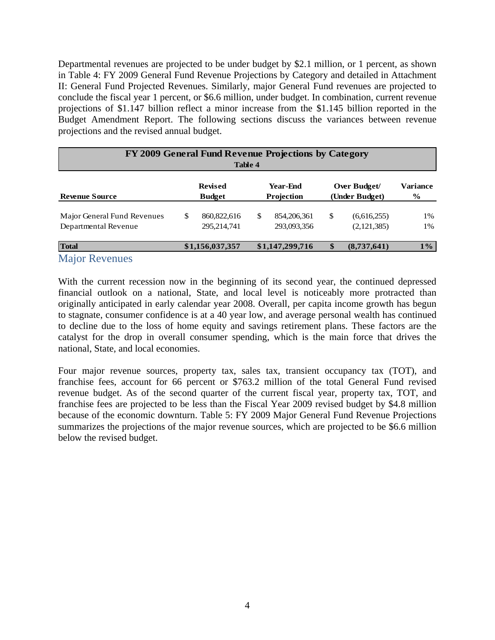Departmental revenues are projected to be under budget by \$2.1 million, or 1 percent, as shown in Table 4: FY 2009 General Fund Revenue Projections by Category and detailed in Attachment II: General Fund Projected Revenues. Similarly, major General Fund revenues are projected to conclude the fiscal year 1 percent, or \$6.6 million, under budget. In combination, current revenue projections of \$1.147 billion reflect a minor increase from the \$1.145 billion reported in the Budget Amendment Report. The following sections discuss the variances between revenue projections and the revised annual budget.

| FY 2009 General Fund Revenue Projections by Category<br>Table 4 |                                 |                            |                        |                            |                                |                            |                         |  |  |  |
|-----------------------------------------------------------------|---------------------------------|----------------------------|------------------------|----------------------------|--------------------------------|----------------------------|-------------------------|--|--|--|
| <b>Revenue Source</b>                                           | <b>Revised</b><br><b>Budget</b> |                            | Year-End<br>Projection |                            | Over Budget/<br>(Under Budget) |                            | <b>Variance</b><br>$\%$ |  |  |  |
| Major General Fund Revenues<br>Departmental Revenue             | \$                              | 860,822,616<br>295,214,741 | \$                     | 854,206,361<br>293,093,356 | \$                             | (6,616,255)<br>(2,121,385) | 1%<br>1%                |  |  |  |
| <b>Total</b><br><b>Major Revenues</b>                           |                                 | \$1,156,037,357            |                        | \$1,147,299,716            | \$                             | (8,737,641)                | $1\%$                   |  |  |  |

With the current recession now in the beginning of its second year, the continued depressed financial outlook on a national, State, and local level is noticeably more protracted than originally anticipated in early calendar year 2008. Overall, per capita income growth has begun to stagnate, consumer confidence is at a 40 year low, and average personal wealth has continued to decline due to the loss of home equity and savings retirement plans. These factors are the catalyst for the drop in overall consumer spending, which is the main force that drives the national, State, and local economies.

Four major revenue sources, property tax, sales tax, transient occupancy tax (TOT), and franchise fees, account for 66 percent or \$763.2 million of the total General Fund revised revenue budget. As of the second quarter of the current fiscal year, property tax, TOT, and franchise fees are projected to be less than the Fiscal Year 2009 revised budget by \$4.8 million because of the economic downturn. Table 5: FY 2009 Major General Fund Revenue Projections summarizes the projections of the major revenue sources, which are projected to be \$6.6 million below the revised budget.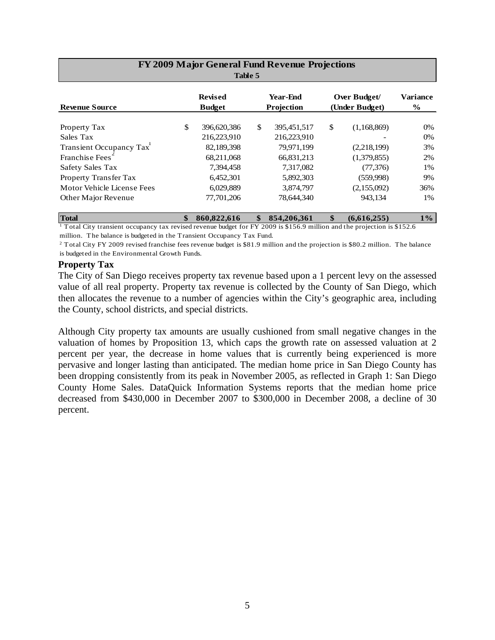| FY 2009 Major General Fund Revenue Projections<br>Table 5 |                                 |             |                               |             |                                |             |                           |  |  |  |
|-----------------------------------------------------------|---------------------------------|-------------|-------------------------------|-------------|--------------------------------|-------------|---------------------------|--|--|--|
| <b>Revenue Source</b>                                     | <b>Revised</b><br><b>Budget</b> |             | <b>Year-End</b><br>Projection |             | Over Budget/<br>(Under Budget) |             | Variance<br>$\frac{6}{9}$ |  |  |  |
| Property Tax                                              | \$                              | 396,620,386 | \$                            | 395,451,517 | \$                             | (1,168,869) | 0%                        |  |  |  |
| Sales Tax                                                 |                                 | 216,223,910 |                               | 216,223,910 |                                |             | 0%                        |  |  |  |
| Transient Occupancy Tax                                   |                                 | 82,189,398  |                               | 79,971,199  |                                | (2,218,199) | 3%                        |  |  |  |
| Franchise Fees <sup>®</sup>                               |                                 | 68,211,068  |                               | 66,831,213  |                                | (1,379,855) | 2%                        |  |  |  |
| Safety Sales Tax                                          |                                 | 7,394,458   |                               | 7,317,082   |                                | (77, 376)   | 1%                        |  |  |  |
| Property Transfer Tax                                     |                                 | 6,452,301   |                               | 5,892,303   |                                | (559,998)   | 9%                        |  |  |  |
| Motor Vehicle License Fees                                |                                 | 6,029,889   |                               | 3,874,797   |                                | (2,155,092) | 36%                       |  |  |  |
| Other Major Revenue                                       |                                 | 77,701,206  |                               | 78,644,340  |                                | 943,134     | 1%                        |  |  |  |
| <b>Total</b>                                              | \$                              | 860,822,616 | \$                            | 854,206,361 | \$                             | (6,616,255) | $1\%$                     |  |  |  |

 million. The balance is budgeted in the Transient Occupancy Tax Fund. 1 Total City transient occupancy tax revised revenue budget for FY 2009 is \$156.9 million and the projection is \$152.6

 $2$  Total City FY 2009 revised franchise fees revenue budget is \$81.9 million and the projection is \$80.2 million. The balance is budgeted in the Environmental Growth Funds.

#### **Property Tax**

The City of San Diego receives property tax revenue based upon a 1 percent levy on the assessed value of all real property. Property tax revenue is collected by the County of San Diego, which then allocates the revenue to a number of agencies within the City's geographic area, including the County, school districts, and special districts.

Although City property tax amounts are usually cushioned from small negative changes in the valuation of homes by Proposition 13, which caps the growth rate on assessed valuation at 2 percent per year, the decrease in home values that is currently being experienced is more pervasive and longer lasting than anticipated. The median home price in San Diego County has been dropping consistently from its peak in November 2005, as reflected in Graph 1: San Diego County Home Sales. DataQuick Information Systems reports that the median home price decreased from \$430,000 in December 2007 to \$300,000 in December 2008, a decline of 30 percent.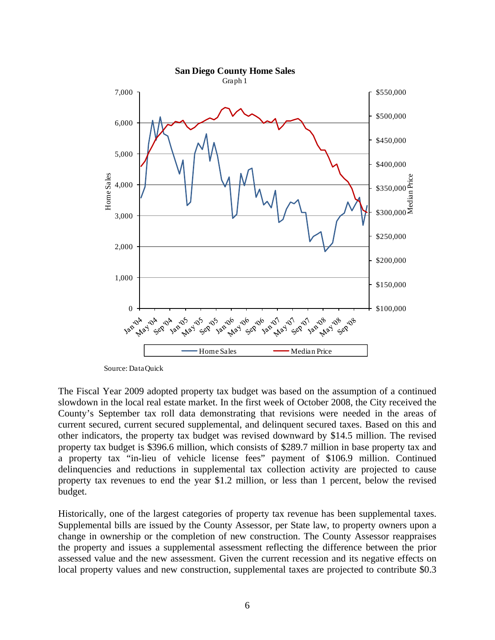

Source: DataQuick

The Fiscal Year 2009 adopted property tax budget was based on the assumption of a continued slowdown in the local real estate market. In the first week of October 2008, the City received the County's September tax roll data demonstrating that revisions were needed in the areas of current secured, current secured supplemental, and delinquent secured taxes. Based on this and other indicators, the property tax budget was revised downward by \$14.5 million. The revised property tax budget is \$396.6 million, which consists of \$289.7 million in base property tax and a property tax "in-lieu of vehicle license fees" payment of \$106.9 million. Continued delinquencies and reductions in supplemental tax collection activity are projected to cause property tax revenues to end the year \$1.2 million, or less than 1 percent, below the revised budget.

Historically, one of the largest categories of property tax revenue has been supplemental taxes. Supplemental bills are issued by the County Assessor, per State law, to property owners upon a change in ownership or the completion of new construction. The County Assessor reappraises the property and issues a supplemental assessment reflecting the difference between the prior assessed value and the new assessment. Given the current recession and its negative effects on local property values and new construction, supplemental taxes are projected to contribute \$0.3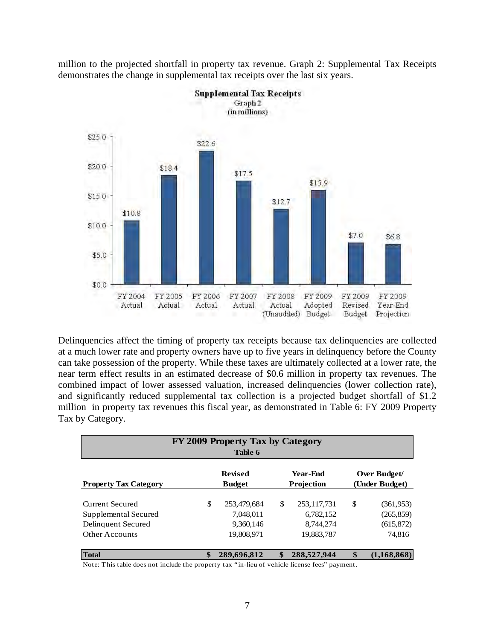million to the projected shortfall in property tax revenue. Graph 2: Supplemental Tax Receipts demonstrates the change in supplemental tax receipts over the last six years.



Delinquencies affect the timing of property tax receipts because tax delinquencies are collected at a much lower rate and property owners have up to five years in delinquency before the County can take possession of the property. While these taxes are ultimately collected at a lower rate, the near term effect results in an estimated decrease of \$0.6 million in property tax revenues. The combined impact of lower assessed valuation, increased delinquencies (lower collection rate), and significantly reduced supplemental tax collection is a projected budget shortfall of \$1.2 million in property tax revenues this fiscal year, as demonstrated in Table 6: FY 2009 Property Tax by Category.

| FY 2009 Property Tax by Category<br>Table 6 |    |                                   |    |             |                |              |  |  |  |  |
|---------------------------------------------|----|-----------------------------------|----|-------------|----------------|--------------|--|--|--|--|
|                                             |    | <b>Revised</b><br><b>Year-End</b> |    |             |                | Over Budget/ |  |  |  |  |
| <b>Property Tax Category</b>                |    | <b>Budget</b>                     |    | Projection  | (Under Budget) |              |  |  |  |  |
| Current Secured                             | \$ | 253,479,684                       | \$ | 253,117,731 | \$             | (361,953)    |  |  |  |  |
| Supplemental Secured                        |    | 7.048.011                         |    | 6,782,152   |                | (265, 859)   |  |  |  |  |
| Delinquent Secured                          |    | 9,360,146                         |    | 8,744,274   |                | (615, 872)   |  |  |  |  |
| <b>Other Accounts</b>                       |    | 19,808,971                        |    | 19,883,787  |                | 74,816       |  |  |  |  |
| <b>Total</b>                                | \$ | 289,696,812                       | \$ | 288,527,944 | \$             | (1,168,868)  |  |  |  |  |

Note: This table does not include the property tax "in-lieu of vehicle license fees" payment.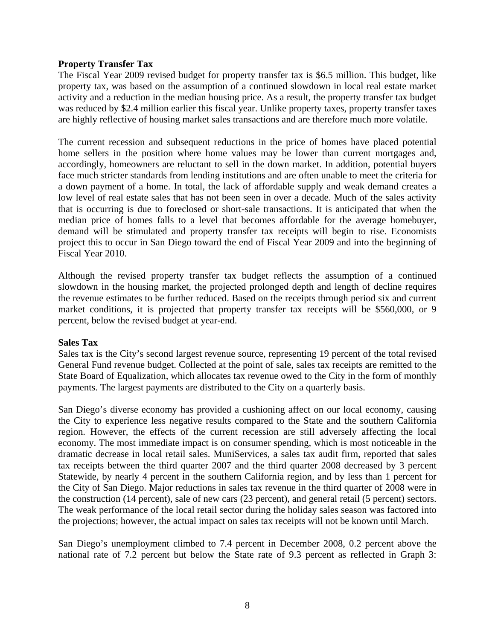#### **Property Transfer Tax**

The Fiscal Year 2009 revised budget for property transfer tax is \$6.5 million. This budget, like property tax, was based on the assumption of a continued slowdown in local real estate market activity and a reduction in the median housing price. As a result, the property transfer tax budget was reduced by \$2.4 million earlier this fiscal year. Unlike property taxes, property transfer taxes are highly reflective of housing market sales transactions and are therefore much more volatile.

The current recession and subsequent reductions in the price of homes have placed potential home sellers in the position where home values may be lower than current mortgages and, accordingly, homeowners are reluctant to sell in the down market. In addition, potential buyers face much stricter standards from lending institutions and are often unable to meet the criteria for a down payment of a home. In total, the lack of affordable supply and weak demand creates a low level of real estate sales that has not been seen in over a decade. Much of the sales activity that is occurring is due to foreclosed or short-sale transactions. It is anticipated that when the median price of homes falls to a level that becomes affordable for the average homebuyer, demand will be stimulated and property transfer tax receipts will begin to rise. Economists project this to occur in San Diego toward the end of Fiscal Year 2009 and into the beginning of Fiscal Year 2010.

Although the revised property transfer tax budget reflects the assumption of a continued slowdown in the housing market, the projected prolonged depth and length of decline requires the revenue estimates to be further reduced. Based on the receipts through period six and current market conditions, it is projected that property transfer tax receipts will be \$560,000, or 9 percent, below the revised budget at year-end.

### **Sales Tax**

Sales tax is the City's second largest revenue source, representing 19 percent of the total revised General Fund revenue budget. Collected at the point of sale, sales tax receipts are remitted to the State Board of Equalization, which allocates tax revenue owed to the City in the form of monthly payments. The largest payments are distributed to the City on a quarterly basis.

San Diego's diverse economy has provided a cushioning affect on our local economy, causing the City to experience less negative results compared to the State and the southern California region. However, the effects of the current recession are still adversely affecting the local economy. The most immediate impact is on consumer spending, which is most noticeable in the dramatic decrease in local retail sales. MuniServices, a sales tax audit firm, reported that sales tax receipts between the third quarter 2007 and the third quarter 2008 decreased by 3 percent Statewide, by nearly 4 percent in the southern California region, and by less than 1 percent for the City of San Diego. Major reductions in sales tax revenue in the third quarter of 2008 were in the construction (14 percent), sale of new cars (23 percent), and general retail (5 percent) sectors. The weak performance of the local retail sector during the holiday sales season was factored into the projections; however, the actual impact on sales tax receipts will not be known until March.

San Diego's unemployment climbed to 7.4 percent in December 2008, 0.2 percent above the national rate of 7.2 percent but below the State rate of 9.3 percent as reflected in Graph 3: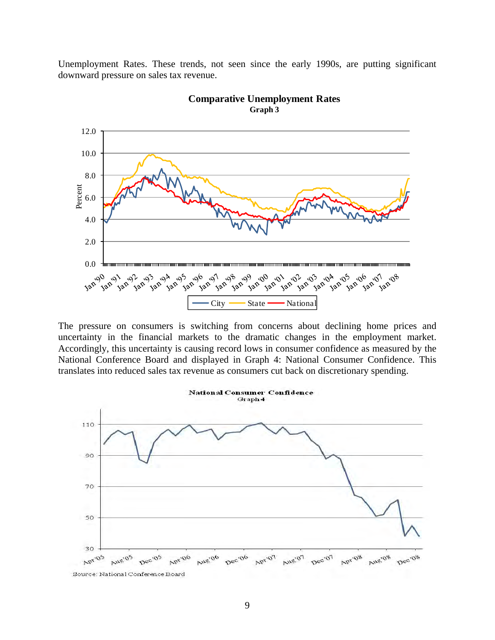Unemployment Rates. These trends, not seen since the early 1990s, are putting significant downward pressure on sales tax revenue.





The pressure on consumers is switching from concerns about declining home prices and uncertainty in the financial markets to the dramatic changes in the employment market. Accordingly, this uncertainty is causing record lows in consumer confidence as measured by the National Conference Board and displayed in Graph 4: National Consumer Confidence. This translates into reduced sales tax revenue as consumers cut back on discretionary spending.



Source: National Conference Board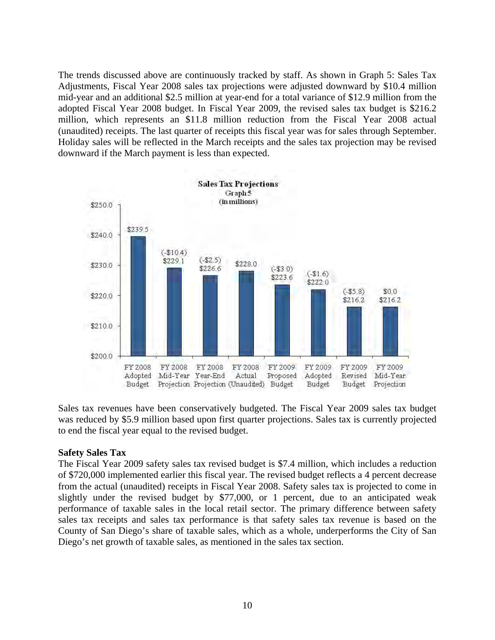The trends discussed above are continuously tracked by staff. As shown in Graph 5: Sales Tax Adjustments, Fiscal Year 2008 sales tax projections were adjusted downward by \$10.4 million mid-year and an additional \$2.5 million at year-end for a total variance of \$12.9 million from the adopted Fiscal Year 2008 budget. In Fiscal Year 2009, the revised sales tax budget is \$216.2 million, which represents an \$11.8 million reduction from the Fiscal Year 2008 actual (unaudited) receipts. The last quarter of receipts this fiscal year was for sales through September. Holiday sales will be reflected in the March receipts and the sales tax projection may be revised downward if the March payment is less than expected.



Sales tax revenues have been conservatively budgeted. The Fiscal Year 2009 sales tax budget was reduced by \$5.9 million based upon first quarter projections. Sales tax is currently projected to end the fiscal year equal to the revised budget.

### **Safety Sales Tax**

The Fiscal Year 2009 safety sales tax revised budget is \$7.4 million, which includes a reduction of \$720,000 implemented earlier this fiscal year. The revised budget reflects a 4 percent decrease from the actual (unaudited) receipts in Fiscal Year 2008. Safety sales tax is projected to come in slightly under the revised budget by \$77,000, or 1 percent, due to an anticipated weak performance of taxable sales in the local retail sector. The primary difference between safety sales tax receipts and sales tax performance is that safety sales tax revenue is based on the County of San Diego's share of taxable sales, which as a whole, underperforms the City of San Diego's net growth of taxable sales, as mentioned in the sales tax section.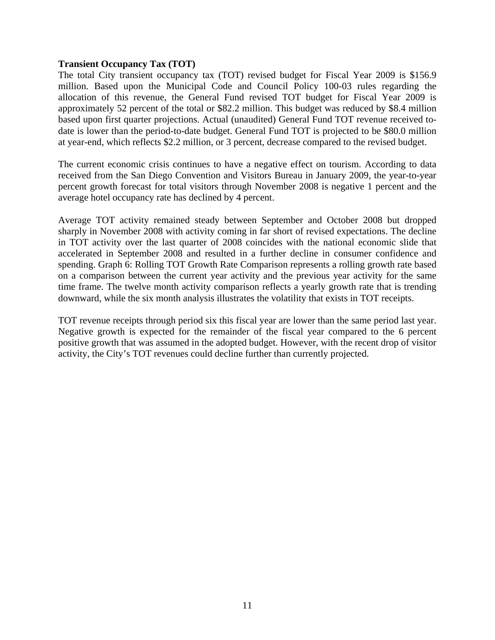#### **Transient Occupancy Tax (TOT)**

The total City transient occupancy tax (TOT) revised budget for Fiscal Year 2009 is \$156.9 million. Based upon the Municipal Code and Council Policy 100-03 rules regarding the allocation of this revenue, the General Fund revised TOT budget for Fiscal Year 2009 is approximately 52 percent of the total or \$82.2 million. This budget was reduced by \$8.4 million based upon first quarter projections. Actual (unaudited) General Fund TOT revenue received todate is lower than the period-to-date budget. General Fund TOT is projected to be \$80.0 million at year-end, which reflects \$2.2 million, or 3 percent, decrease compared to the revised budget.

The current economic crisis continues to have a negative effect on tourism. According to data received from the San Diego Convention and Visitors Bureau in January 2009, the year-to-year percent growth forecast for total visitors through November 2008 is negative 1 percent and the average hotel occupancy rate has declined by 4 percent.

Average TOT activity remained steady between September and October 2008 but dropped sharply in November 2008 with activity coming in far short of revised expectations. The decline in TOT activity over the last quarter of 2008 coincides with the national economic slide that accelerated in September 2008 and resulted in a further decline in consumer confidence and spending. Graph 6: Rolling TOT Growth Rate Comparison represents a rolling growth rate based on a comparison between the current year activity and the previous year activity for the same time frame. The twelve month activity comparison reflects a yearly growth rate that is trending downward, while the six month analysis illustrates the volatility that exists in TOT receipts.

TOT revenue receipts through period six this fiscal year are lower than the same period last year. Negative growth is expected for the remainder of the fiscal year compared to the 6 percent positive growth that was assumed in the adopted budget. However, with the recent drop of visitor activity, the City's TOT revenues could decline further than currently projected.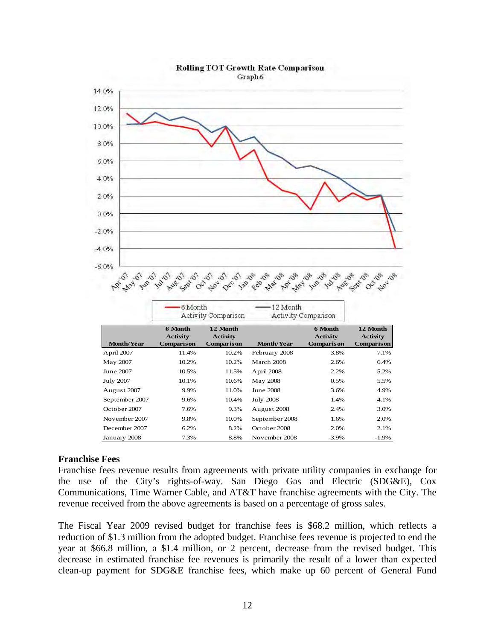

# **Rolling TOT Growth Rate Comparison**

### **Franchise Fees**

Franchise fees revenue results from agreements with private utility companies in exchange for the use of the City's rights-of-way. San Diego Gas and Electric (SDG&E), Cox Communications, Time Warner Cable, and AT&T have franchise agreements with the City. The revenue received from the above agreements is based on a percentage of gross sales.

The Fiscal Year 2009 revised budget for franchise fees is \$68.2 million, which reflects a reduction of \$1.3 million from the adopted budget. Franchise fees revenue is projected to end the year at \$66.8 million, a \$1.4 million, or 2 percent, decrease from the revised budget. This decrease in estimated franchise fee revenues is primarily the result of a lower than expected clean-up payment for SDG&E franchise fees, which make up 60 percent of General Fund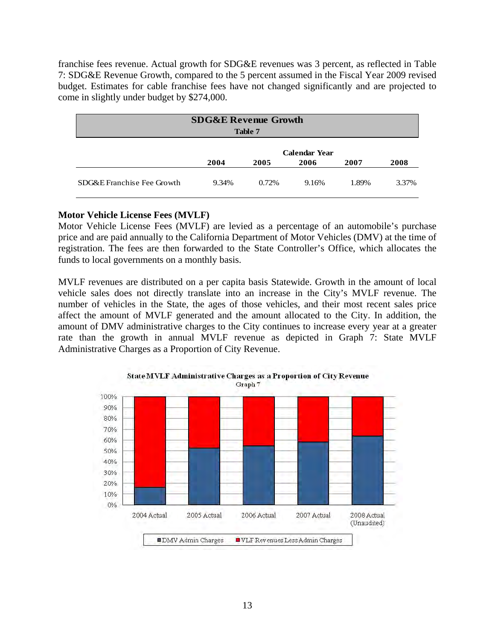franchise fees revenue. Actual growth for SDG&E revenues was 3 percent, as reflected in Table 7: SDG&E Revenue Growth, compared to the 5 percent assumed in the Fiscal Year 2009 revised budget. Estimates for cable franchise fees have not changed significantly and are projected to come in slightly under budget by \$274,000.

|                            | <b>SDG&amp;E Revenue Growth</b>                              | Table 7 |       |       |       |  |  |  |  |  |
|----------------------------|--------------------------------------------------------------|---------|-------|-------|-------|--|--|--|--|--|
|                            | <b>Calendar Year</b><br>2004<br>2008<br>2005<br>2006<br>2007 |         |       |       |       |  |  |  |  |  |
| SDG&E Franchise Fee Growth | 9.34%                                                        | 0.72%   | 9.16% | 1.89% | 3.37% |  |  |  |  |  |

## **Motor Vehicle License Fees (MVLF)**

Motor Vehicle License Fees (MVLF) are levied as a percentage of an automobile's purchase price and are paid annually to the California Department of Motor Vehicles (DMV) at the time of registration. The fees are then forwarded to the State Controller's Office, which allocates the funds to local governments on a monthly basis.

MVLF revenues are distributed on a per capita basis Statewide. Growth in the amount of local vehicle sales does not directly translate into an increase in the City's MVLF revenue. The number of vehicles in the State, the ages of those vehicles, and their most recent sales price affect the amount of MVLF generated and the amount allocated to the City. In addition, the amount of DMV administrative charges to the City continues to increase every year at a greater rate than the growth in annual MVLF revenue as depicted in Graph 7: State MVLF Administrative Charges as a Proportion of City Revenue.



State MVLF Administrative Charges as a Proportion of City Revenue Graph 7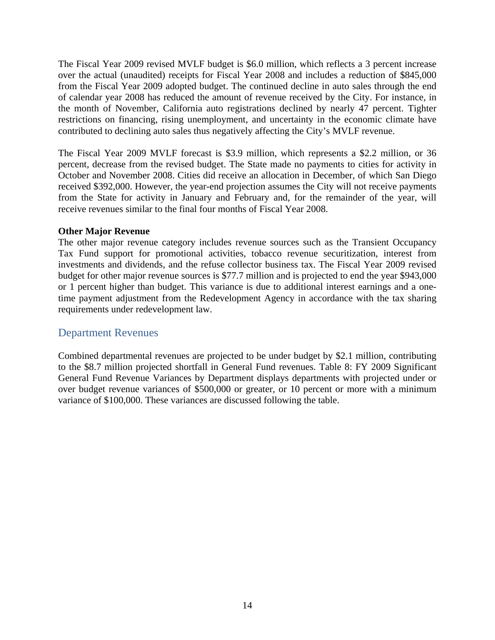The Fiscal Year 2009 revised MVLF budget is \$6.0 million, which reflects a 3 percent increase over the actual (unaudited) receipts for Fiscal Year 2008 and includes a reduction of \$845,000 from the Fiscal Year 2009 adopted budget. The continued decline in auto sales through the end of calendar year 2008 has reduced the amount of revenue received by the City. For instance, in the month of November, California auto registrations declined by nearly 47 percent. Tighter restrictions on financing, rising unemployment, and uncertainty in the economic climate have contributed to declining auto sales thus negatively affecting the City's MVLF revenue.

The Fiscal Year 2009 MVLF forecast is \$3.9 million, which represents a \$2.2 million, or 36 percent, decrease from the revised budget. The State made no payments to cities for activity in October and November 2008. Cities did receive an allocation in December, of which San Diego received \$392,000. However, the year-end projection assumes the City will not receive payments from the State for activity in January and February and, for the remainder of the year, will receive revenues similar to the final four months of Fiscal Year 2008.

### **Other Major Revenue**

The other major revenue category includes revenue sources such as the Transient Occupancy Tax Fund support for promotional activities, tobacco revenue securitization, interest from investments and dividends, and the refuse collector business tax. The Fiscal Year 2009 revised budget for other major revenue sources is \$77.7 million and is projected to end the year \$943,000 or 1 percent higher than budget. This variance is due to additional interest earnings and a onetime payment adjustment from the Redevelopment Agency in accordance with the tax sharing requirements under redevelopment law.

# Department Revenues

Combined departmental revenues are projected to be under budget by \$2.1 million, contributing to the \$8.7 million projected shortfall in General Fund revenues. Table 8: FY 2009 Significant General Fund Revenue Variances by Department displays departments with projected under or over budget revenue variances of \$500,000 or greater, or 10 percent or more with a minimum variance of \$100,000. These variances are discussed following the table.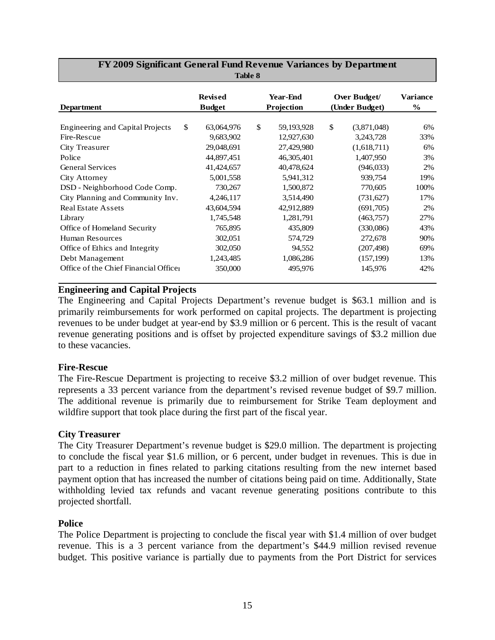| <b>Department</b>                       | <b>Revised</b><br><b>Budget</b> | <b>Year-End</b><br>Projection | Over Budget/<br>(Under Budget) | Variance<br>$\%$ |
|-----------------------------------------|---------------------------------|-------------------------------|--------------------------------|------------------|
|                                         |                                 |                               |                                |                  |
| <b>Engineering and Capital Projects</b> | \$<br>63,064,976                | \$<br>59,193,928              | \$<br>(3,871,048)              | 6%               |
| Fire-Rescue                             | 9,683,902                       | 12,927,630                    | 3,243,728                      | 33%              |
| City Treasurer                          | 29,048,691                      | 27,429,980                    | (1,618,711)                    | 6%               |
| Police                                  | 44,897,451                      | 46,305,401                    | 1,407,950                      | 3%               |
| <b>General Services</b>                 | 41,424,657                      | 40,478,624                    | (946, 033)                     | 2%               |
| City Attorney                           | 5,001,558                       | 5,941,312                     | 939,754                        | 19%              |
| DSD - Neighborhood Code Comp.           | 730,267                         | 1,500,872                     | 770,605                        | 100%             |
| City Planning and Community Inv.        | 4,246,117                       | 3,514,490                     | (731,627)                      | 17%              |
| <b>Real Estate Assets</b>               | 43,604,594                      | 42,912,889                    | (691,705)                      | 2%               |
| Library                                 | 1,745,548                       | 1,281,791                     | (463,757)                      | 27%              |
| Office of Homeland Security             | 765,895                         | 435,809                       | (330,086)                      | 43%              |
| Human Resources                         | 302,051                         | 574,729                       | 272,678                        | 90%              |
| Office of Ethics and Integrity          | 302,050                         | 94,552                        | (207, 498)                     | 69%              |
| Debt Management                         | 1,243,485                       | 1,086,286                     | (157, 199)                     | 13%              |
| Office of the Chief Financial Officer   | 350,000                         | 495,976                       | 145,976                        | 42%              |

#### **FY 2009 Significant General Fund Revenue Variances by Department Table 8**

## **Engineering and Capital Projects**

The Engineering and Capital Projects Department's revenue budget is \$63.1 million and is primarily reimbursements for work performed on capital projects. The department is projecting revenues to be under budget at year-end by \$3.9 million or 6 percent. This is the result of vacant revenue generating positions and is offset by projected expenditure savings of \$3.2 million due to these vacancies.

### **Fire-Rescue**

The Fire-Rescue Department is projecting to receive \$3.2 million of over budget revenue. This represents a 33 percent variance from the department's revised revenue budget of \$9.7 million. The additional revenue is primarily due to reimbursement for Strike Team deployment and wildfire support that took place during the first part of the fiscal year.

### **City Treasurer**

The City Treasurer Department's revenue budget is \$29.0 million. The department is projecting to conclude the fiscal year \$1.6 million, or 6 percent, under budget in revenues. This is due in part to a reduction in fines related to parking citations resulting from the new internet based payment option that has increased the number of citations being paid on time. Additionally, State withholding levied tax refunds and vacant revenue generating positions contribute to this projected shortfall.

### **Police**

The Police Department is projecting to conclude the fiscal year with \$1.4 million of over budget revenue. This is a 3 percent variance from the department's \$44.9 million revised revenue budget. This positive variance is partially due to payments from the Port District for services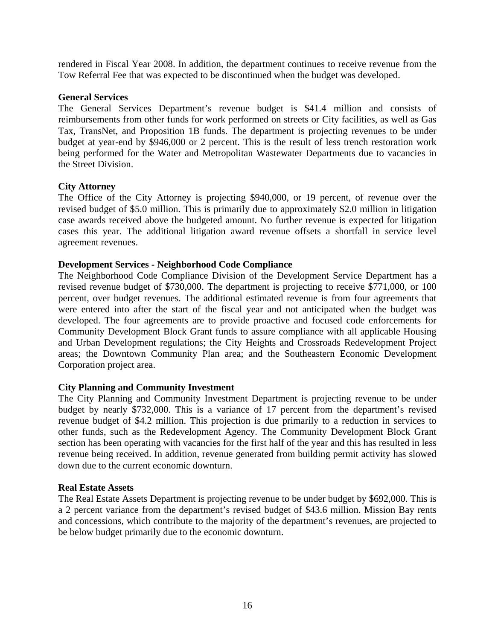rendered in Fiscal Year 2008. In addition, the department continues to receive revenue from the Tow Referral Fee that was expected to be discontinued when the budget was developed.

### **General Services**

The General Services Department's revenue budget is \$41.4 million and consists of reimbursements from other funds for work performed on streets or City facilities, as well as Gas Tax, TransNet, and Proposition 1B funds. The department is projecting revenues to be under budget at year-end by \$946,000 or 2 percent. This is the result of less trench restoration work being performed for the Water and Metropolitan Wastewater Departments due to vacancies in the Street Division.

### **City Attorney**

The Office of the City Attorney is projecting \$940,000, or 19 percent, of revenue over the revised budget of \$5.0 million. This is primarily due to approximately \$2.0 million in litigation case awards received above the budgeted amount. No further revenue is expected for litigation cases this year. The additional litigation award revenue offsets a shortfall in service level agreement revenues.

#### **Development Services - Neighborhood Code Compliance**

The Neighborhood Code Compliance Division of the Development Service Department has a revised revenue budget of \$730,000. The department is projecting to receive \$771,000, or 100 percent, over budget revenues. The additional estimated revenue is from four agreements that were entered into after the start of the fiscal year and not anticipated when the budget was developed. The four agreements are to provide proactive and focused code enforcements for Community Development Block Grant funds to assure compliance with all applicable Housing and Urban Development regulations; the City Heights and Crossroads Redevelopment Project areas; the Downtown Community Plan area; and the Southeastern Economic Development Corporation project area.

### **City Planning and Community Investment**

The City Planning and Community Investment Department is projecting revenue to be under budget by nearly \$732,000. This is a variance of 17 percent from the department's revised revenue budget of \$4.2 million. This projection is due primarily to a reduction in services to other funds, such as the Redevelopment Agency. The Community Development Block Grant section has been operating with vacancies for the first half of the year and this has resulted in less revenue being received. In addition, revenue generated from building permit activity has slowed down due to the current economic downturn.

#### **Real Estate Assets**

The Real Estate Assets Department is projecting revenue to be under budget by \$692,000. This is a 2 percent variance from the department's revised budget of \$43.6 million. Mission Bay rents and concessions, which contribute to the majority of the department's revenues, are projected to be below budget primarily due to the economic downturn.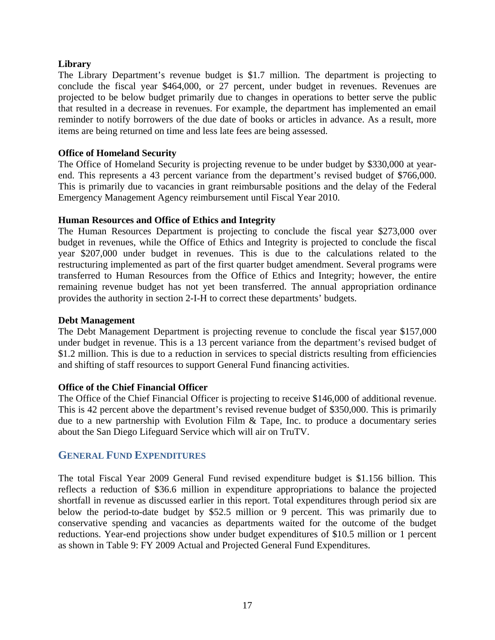## **Library**

The Library Department's revenue budget is \$1.7 million. The department is projecting to conclude the fiscal year \$464,000, or 27 percent, under budget in revenues. Revenues are projected to be below budget primarily due to changes in operations to better serve the public that resulted in a decrease in revenues. For example, the department has implemented an email reminder to notify borrowers of the due date of books or articles in advance. As a result, more items are being returned on time and less late fees are being assessed.

### **Office of Homeland Security**

The Office of Homeland Security is projecting revenue to be under budget by \$330,000 at yearend. This represents a 43 percent variance from the department's revised budget of \$766,000. This is primarily due to vacancies in grant reimbursable positions and the delay of the Federal Emergency Management Agency reimbursement until Fiscal Year 2010.

#### **Human Resources and Office of Ethics and Integrity**

The Human Resources Department is projecting to conclude the fiscal year \$273,000 over budget in revenues, while the Office of Ethics and Integrity is projected to conclude the fiscal year \$207,000 under budget in revenues. This is due to the calculations related to the restructuring implemented as part of the first quarter budget amendment. Several programs were transferred to Human Resources from the Office of Ethics and Integrity; however, the entire remaining revenue budget has not yet been transferred. The annual appropriation ordinance provides the authority in section 2-I-H to correct these departments' budgets.

#### **Debt Management**

The Debt Management Department is projecting revenue to conclude the fiscal year \$157,000 under budget in revenue. This is a 13 percent variance from the department's revised budget of \$1.2 million. This is due to a reduction in services to special districts resulting from efficiencies and shifting of staff resources to support General Fund financing activities.

### **Office of the Chief Financial Officer**

The Office of the Chief Financial Officer is projecting to receive \$146,000 of additional revenue. This is 42 percent above the department's revised revenue budget of \$350,000. This is primarily due to a new partnership with Evolution Film & Tape, Inc. to produce a documentary series about the San Diego Lifeguard Service which will air on TruTV.

# **GENERAL FUND EXPENDITURES**

The total Fiscal Year 2009 General Fund revised expenditure budget is \$1.156 billion. This reflects a reduction of \$36.6 million in expenditure appropriations to balance the projected shortfall in revenue as discussed earlier in this report. Total expenditures through period six are below the period-to-date budget by \$52.5 million or 9 percent. This was primarily due to conservative spending and vacancies as departments waited for the outcome of the budget reductions. Year-end projections show under budget expenditures of \$10.5 million or 1 percent as shown in Table 9: FY 2009 Actual and Projected General Fund Expenditures.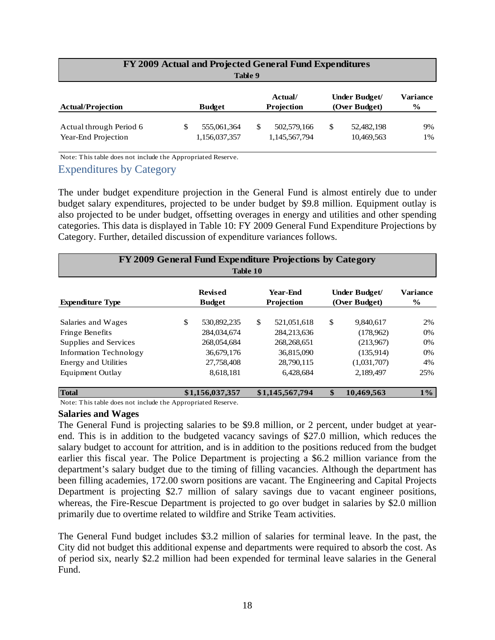|                                                |   | Table 9                      | FY 2009 Actual and Projected General Fund Expenditures |                                |                  |
|------------------------------------------------|---|------------------------------|--------------------------------------------------------|--------------------------------|------------------|
| <b>Actual/Projection</b>                       |   | <b>Budget</b>                | Actual/<br>Projection                                  | Under Budget/<br>(Over Budget) | Variance<br>$\%$ |
| Actual through Period 6<br>Year-End Projection | S | 555,061,364<br>1,156,037,357 | 502,579,166<br>1,145,567,794                           | \$<br>52,482,198<br>10,469,563 | 9%<br>1%         |

Note: This table does not include the Appropriated Reserve.

## Expenditures by Category

The under budget expenditure projection in the General Fund is almost entirely due to under budget salary expenditures, projected to be under budget by \$9.8 million. Equipment outlay is also projected to be under budget, offsetting overages in energy and utilities and other spending categories. This data is displayed in Table 10: FY 2009 General Fund Expenditure Projections by Category. Further, detailed discussion of expenditure variances follows.

| FY 2009 General Fund Expenditure Projections by Category<br>Table 10 |    |                                 |    |                        |    |                                |                                  |  |  |  |
|----------------------------------------------------------------------|----|---------------------------------|----|------------------------|----|--------------------------------|----------------------------------|--|--|--|
| <b>Expenditure Type</b>                                              |    | <b>Revised</b><br><b>Budget</b> |    | Year-Fnd<br>Projection |    | Under Budget/<br>(Over Budget) | <b>Variance</b><br>$\frac{6}{9}$ |  |  |  |
| Salaries and Wages                                                   | \$ | 530,892,235                     | \$ | 521,051,618            | \$ | 9,840,617                      | 2%                               |  |  |  |
| Fringe Benefits                                                      |    | 284,034,674                     |    | 284, 213, 636          |    | (178,962)                      | 0%                               |  |  |  |
| Supplies and Services                                                |    | 268,054,684                     |    | 268, 268, 651          |    | (213,967)                      | $0\%$                            |  |  |  |
| <b>Information Technology</b>                                        |    | 36,679,176                      |    | 36.815.090             |    | (135,914)                      | 0%                               |  |  |  |
| <b>Energy and Utilities</b>                                          |    | 27,758,408                      |    | 28,790,115             |    | (1,031,707)                    | 4%                               |  |  |  |
| Equipment Outlay                                                     |    | 8,618,181                       |    | 6,428,684              |    | 2,189,497                      | 25%                              |  |  |  |
| <b>Total</b>                                                         |    | \$1,156,037,357                 |    | \$1,145,567,794        | \$ | 10.469.563                     | $1\%$                            |  |  |  |

Note: This table does not include the Appropriated Reserve.

#### **Salaries and Wages**

The General Fund is projecting salaries to be \$9.8 million, or 2 percent, under budget at yearend. This is in addition to the budgeted vacancy savings of \$27.0 million, which reduces the salary budget to account for attrition, and is in addition to the positions reduced from the budget earlier this fiscal year. The Police Department is projecting a \$6.2 million variance from the department's salary budget due to the timing of filling vacancies. Although the department has been filling academies, 172.00 sworn positions are vacant. The Engineering and Capital Projects Department is projecting \$2.7 million of salary savings due to vacant engineer positions, whereas, the Fire-Rescue Department is projected to go over budget in salaries by \$2.0 million primarily due to overtime related to wildfire and Strike Team activities.

The General Fund budget includes \$3.2 million of salaries for terminal leave. In the past, the City did not budget this additional expense and departments were required to absorb the cost. As of period six, nearly \$2.2 million had been expended for terminal leave salaries in the General Fund.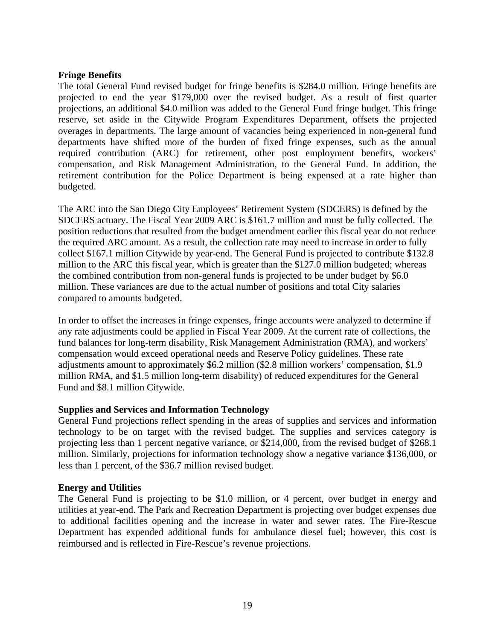### **Fringe Benefits**

The total General Fund revised budget for fringe benefits is \$284.0 million. Fringe benefits are projected to end the year \$179,000 over the revised budget. As a result of first quarter projections, an additional \$4.0 million was added to the General Fund fringe budget. This fringe reserve, set aside in the Citywide Program Expenditures Department, offsets the projected overages in departments. The large amount of vacancies being experienced in non-general fund departments have shifted more of the burden of fixed fringe expenses, such as the annual required contribution (ARC) for retirement, other post employment benefits, workers' compensation, and Risk Management Administration, to the General Fund. In addition, the retirement contribution for the Police Department is being expensed at a rate higher than budgeted.

The ARC into the San Diego City Employees' Retirement System (SDCERS) is defined by the SDCERS actuary. The Fiscal Year 2009 ARC is \$161.7 million and must be fully collected. The position reductions that resulted from the budget amendment earlier this fiscal year do not reduce the required ARC amount. As a result, the collection rate may need to increase in order to fully collect \$167.1 million Citywide by year-end. The General Fund is projected to contribute \$132.8 million to the ARC this fiscal year, which is greater than the \$127.0 million budgeted; whereas the combined contribution from non-general funds is projected to be under budget by \$6.0 million. These variances are due to the actual number of positions and total City salaries compared to amounts budgeted.

In order to offset the increases in fringe expenses, fringe accounts were analyzed to determine if any rate adjustments could be applied in Fiscal Year 2009. At the current rate of collections, the fund balances for long-term disability, Risk Management Administration (RMA), and workers' compensation would exceed operational needs and Reserve Policy guidelines. These rate adjustments amount to approximately \$6.2 million (\$2.8 million workers' compensation, \$1.9 million RMA, and \$1.5 million long-term disability) of reduced expenditures for the General Fund and \$8.1 million Citywide.

### **Supplies and Services and Information Technology**

General Fund projections reflect spending in the areas of supplies and services and information technology to be on target with the revised budget. The supplies and services category is projecting less than 1 percent negative variance, or \$214,000, from the revised budget of \$268.1 million. Similarly, projections for information technology show a negative variance \$136,000, or less than 1 percent, of the \$36.7 million revised budget.

### **Energy and Utilities**

reimbursed and is reflected in Fire-Rescue's revenue projections.<br> **19** The General Fund is projecting to be \$1.0 million, or 4 percent, over budget in energy and utilities at year-end. The Park and Recreation Department is projecting over budget expenses due to additional facilities opening and the increase in water and sewer rates. The Fire-Rescue Department has expended additional funds for ambulance diesel fuel; however, this cost is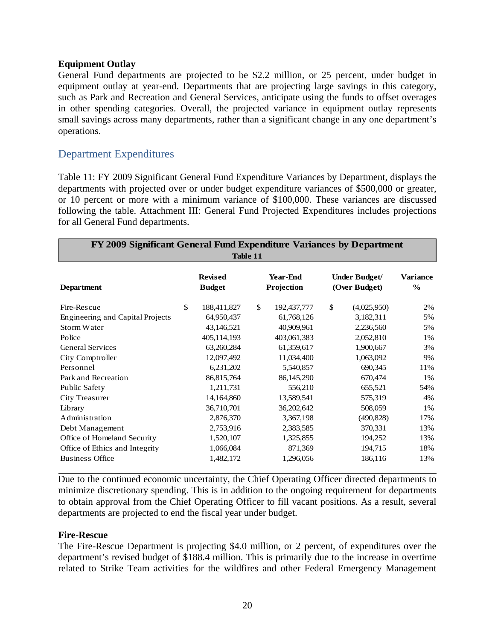### **Equipment Outlay**

General Fund departments are projected to be \$2.2 million, or 25 percent, under budget in equipment outlay at year-end. Departments that are projecting large savings in this category, such as Park and Recreation and General Services, anticipate using the funds to offset overages in other spending categories. Overall, the projected variance in equipment outlay represents small savings across many departments, rather than a significant change in any one department's operations.

# Department Expenditures

Table 11: FY 2009 Significant General Fund Expenditure Variances by Department, displays the departments with projected over or under budget expenditure variances of \$500,000 or greater, or 10 percent or more with a minimum variance of \$100,000. These variances are discussed following the table. Attachment III: General Fund Projected Expenditures includes projections for all General Fund departments.

| FY 2009 Significant General Fund Expenditure Variances by Department<br>Table 11 |    |                                 |              |                               |    |                                |                           |  |  |  |
|----------------------------------------------------------------------------------|----|---------------------------------|--------------|-------------------------------|----|--------------------------------|---------------------------|--|--|--|
| <b>Department</b>                                                                |    | <b>Revised</b><br><b>Budget</b> |              | <b>Year-End</b><br>Projection |    | Under Budget/<br>(Over Budget) | Variance<br>$\frac{6}{9}$ |  |  |  |
| Fire-Rescue                                                                      | \$ | 188,411,827                     | $\mathbb{S}$ | 192,437,777                   | \$ | (4,025,950)                    | 2%                        |  |  |  |
| Engineering and Capital Projects                                                 |    | 64,950,437                      |              | 61,768,126                    |    | 3,182,311                      | 5%                        |  |  |  |
| Storm Water                                                                      |    | 43,146,521                      |              | 40,909,961                    |    | 2,236,560                      | 5%                        |  |  |  |
| Police                                                                           |    | 405,114,193                     |              | 403,061,383                   |    | 2,052,810                      | 1%                        |  |  |  |
| <b>General Services</b>                                                          |    | 63,260,284                      |              | 61,359,617                    |    | 1,900,667                      | 3%                        |  |  |  |
| City Comptroller                                                                 |    | 12,097,492                      |              | 11,034,400                    |    | 1,063,092                      | 9%                        |  |  |  |
| Personnel                                                                        |    | 6,231,202                       |              | 5,540,857                     |    | 690,345                        | 11%                       |  |  |  |
| Park and Recreation                                                              |    | 86, 815, 764                    |              | 86,145,290                    |    | 670,474                        | 1%                        |  |  |  |
| Public Safety                                                                    |    | 1,211,731                       |              | 556,210                       |    | 655,521                        | 54%                       |  |  |  |
| City Treasurer                                                                   |    | 14,164,860                      |              | 13,589,541                    |    | 575,319                        | 4%                        |  |  |  |
| Library                                                                          |    | 36,710,701                      |              | 36,202,642                    |    | 508,059                        | 1%                        |  |  |  |
| Administration                                                                   |    | 2,876,370                       |              | 3,367,198                     |    | (490, 828)                     | 17%                       |  |  |  |
| Debt Management                                                                  |    | 2,753,916                       |              | 2,383,585                     |    | 370,331                        | 13%                       |  |  |  |
| Office of Homeland Security                                                      |    | 1,520,107                       |              | 1,325,855                     |    | 194,252                        | 13%                       |  |  |  |
| Office of Ethics and Integrity                                                   |    | 1,066,084                       |              | 871,369                       |    | 194,715                        | 18%                       |  |  |  |
| <b>Business Office</b>                                                           |    | 1,482,172                       |              | 1,296,056                     |    | 186,116                        | 13%                       |  |  |  |

Due to the continued economic uncertainty, the Chief Operating Officer directed departments to minimize discretionary spending. This is in addition to the ongoing requirement for departments to obtain approval from the Chief Operating Officer to fill vacant positions. As a result, several departments are projected to end the fiscal year under budget.

#### **Fire-Rescue**

The Fire-Rescue Department is projecting \$4.0 million, or 2 percent, of expenditures over the department's revised budget of \$188.4 million. This is primarily due to the increase in overtime related to Strike Team activities for the wildfires and other Federal Emergency Management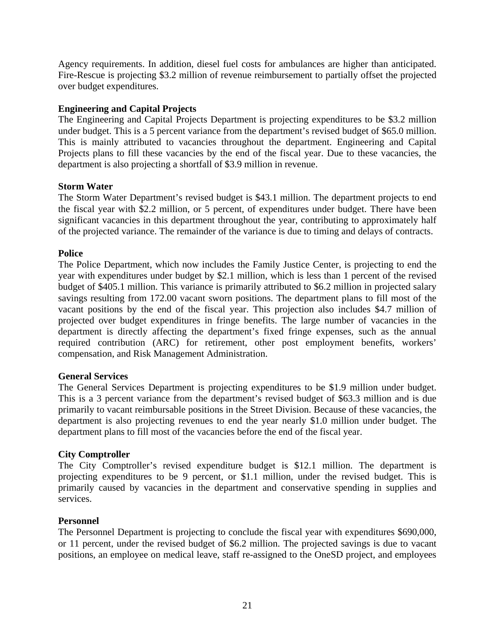Agency requirements. In addition, diesel fuel costs for ambulances are higher than anticipated. Fire-Rescue is projecting \$3.2 million of revenue reimbursement to partially offset the projected over budget expenditures.

## **Engineering and Capital Projects**

The Engineering and Capital Projects Department is projecting expenditures to be \$3.2 million under budget. This is a 5 percent variance from the department's revised budget of \$65.0 million. This is mainly attributed to vacancies throughout the department. Engineering and Capital Projects plans to fill these vacancies by the end of the fiscal year. Due to these vacancies, the department is also projecting a shortfall of \$3.9 million in revenue.

### **Storm Water**

The Storm Water Department's revised budget is \$43.1 million. The department projects to end the fiscal year with \$2.2 million, or 5 percent, of expenditures under budget. There have been significant vacancies in this department throughout the year, contributing to approximately half of the projected variance. The remainder of the variance is due to timing and delays of contracts.

## **Police**

The Police Department, which now includes the Family Justice Center, is projecting to end the year with expenditures under budget by \$2.1 million, which is less than 1 percent of the revised budget of \$405.1 million. This variance is primarily attributed to \$6.2 million in projected salary savings resulting from 172.00 vacant sworn positions. The department plans to fill most of the vacant positions by the end of the fiscal year. This projection also includes \$4.7 million of projected over budget expenditures in fringe benefits. The large number of vacancies in the department is directly affecting the department's fixed fringe expenses, such as the annual required contribution (ARC) for retirement, other post employment benefits, workers' compensation, and Risk Management Administration.

### **General Services**

The General Services Department is projecting expenditures to be \$1.9 million under budget. This is a 3 percent variance from the department's revised budget of \$63.3 million and is due primarily to vacant reimbursable positions in the Street Division. Because of these vacancies, the department is also projecting revenues to end the year nearly \$1.0 million under budget. The department plans to fill most of the vacancies before the end of the fiscal year.

### **City Comptroller**

The City Comptroller's revised expenditure budget is \$12.1 million. The department is projecting expenditures to be 9 percent, or \$1.1 million, under the revised budget. This is primarily caused by vacancies in the department and conservative spending in supplies and services.

### **Personnel**

The Personnel Department is projecting to conclude the fiscal year with expenditures \$690,000, or 11 percent, under the revised budget of \$6.2 million. The projected savings is due to vacant positions, an employee on medical leave, staff re-assigned to the OneSD project, and employees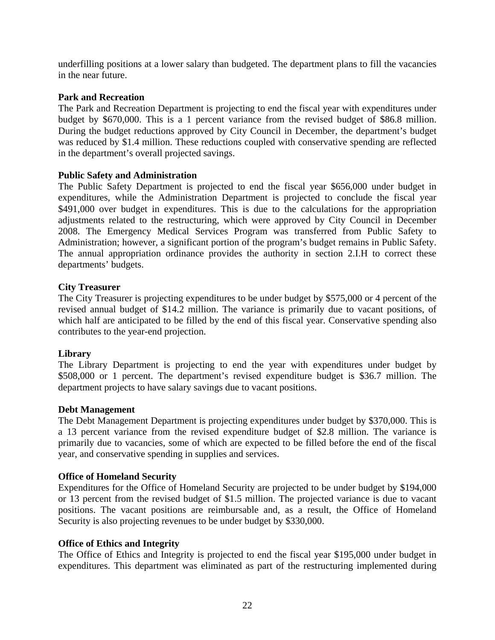underfilling positions at a lower salary than budgeted. The department plans to fill the vacancies in the near future.

### **Park and Recreation**

The Park and Recreation Department is projecting to end the fiscal year with expenditures under budget by \$670,000. This is a 1 percent variance from the revised budget of \$86.8 million. During the budget reductions approved by City Council in December, the department's budget was reduced by \$1.4 million. These reductions coupled with conservative spending are reflected in the department's overall projected savings.

## **Public Safety and Administration**

The Public Safety Department is projected to end the fiscal year \$656,000 under budget in expenditures, while the Administration Department is projected to conclude the fiscal year \$491,000 over budget in expenditures. This is due to the calculations for the appropriation adjustments related to the restructuring, which were approved by City Council in December 2008. The Emergency Medical Services Program was transferred from Public Safety to Administration; however, a significant portion of the program's budget remains in Public Safety. The annual appropriation ordinance provides the authority in section 2.I.H to correct these departments' budgets.

### **City Treasurer**

The City Treasurer is projecting expenditures to be under budget by \$575,000 or 4 percent of the revised annual budget of \$14.2 million. The variance is primarily due to vacant positions, of which half are anticipated to be filled by the end of this fiscal year. Conservative spending also contributes to the year-end projection.

### **Library**

The Library Department is projecting to end the year with expenditures under budget by \$508,000 or 1 percent. The department's revised expenditure budget is \$36.7 million. The department projects to have salary savings due to vacant positions.

### **Debt Management**

The Debt Management Department is projecting expenditures under budget by \$370,000. This is a 13 percent variance from the revised expenditure budget of \$2.8 million. The variance is primarily due to vacancies, some of which are expected to be filled before the end of the fiscal year, and conservative spending in supplies and services.

### **Office of Homeland Security**

Expenditures for the Office of Homeland Security are projected to be under budget by \$194,000 or 13 percent from the revised budget of \$1.5 million. The projected variance is due to vacant positions. The vacant positions are reimbursable and, as a result, the Office of Homeland Security is also projecting revenues to be under budget by \$330,000.

### **Office of Ethics and Integrity**

The Office of Ethics and Integrity is projected to end the fiscal year \$195,000 under budget in expenditures. This department was eliminated as part of the restructuring implemented during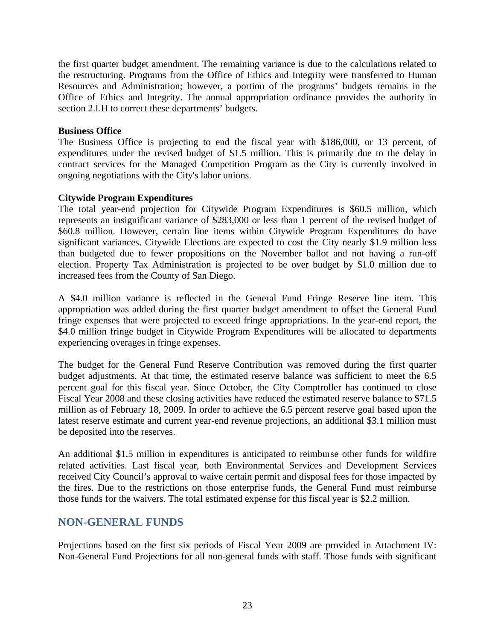the restructuring. Programs from the Office of Ethics and Integrity were transferred to Human the first quarter budget amendment. The remaining variance is due to the calculations related to Resources and Administration; however, a portion of the programs' budgets remains in the Office of Ethics and Integrity. The annual appropriation ordinance provides the authority in section 2.I.H to correct these departments' budgets.

#### **Business Office**

The Business Office is projecting to end the fiscal year with \$186,000, or 13 percent, of expenditures under the revised budget of \$1.5 million. This is primarily due to the delay in contract services for the Managed Competition Program as the City is currently involved in ongoing negotiations with the City's labor unions.

### **Citywide Program Expenditures**

The total year-end projection for Citywide Program Expenditures is \$60.5 million, which represents an insignificant variance of \$283,000 or less than 1 percent of the revised budget of \$60.8 million. However, certain line items within Citywide Program Expenditures do have significant variances. Citywide Elections are expected to cost the City nearly \$1.9 million less than budgeted due to fewer propositions on the November ballot and not having a run-off election. Property Tax Administration is projected to be over budget by \$1.0 million due to increased fees from the County of San Diego.

A \$4.0 million variance is reflected in the General Fund Fringe Reserve line item. This appropriation was added during the first quarter budget amendment to offset the General Fund fringe expenses that were projected to exceed fringe appropriations. In the year-end report, the \$4.0 million fringe budget in Citywide Program Expenditures will be allocated to departments experiencing overages in fringe expenses.

The budget for the General Fund Reserve Contribution was removed during the first quarter budget adjustments. At that time, the estimated reserve balance was sufficient to meet the 6.5 percent goal for this fiscal year. Since October, the City Comptroller has continued to close Fiscal Year 2008 and these closing activities have reduced the estimated reserve balance to \$71.5 million as of February 18, 2009. In order to achieve the 6.5 percent reserve goal based upon the latest reserve estimate and current year-end revenue projections, an additional \$3.1 million must be deposited into the reserves.

An additional \$1.5 million in expenditures is anticipated to reimburse other funds for wildfire related activities. Last fiscal year, both Environmental Services and Development Services received City Council's approval to waive certain permit and disposal fees for those impacted by the fires. Due to the restrictions on those enterprise funds, the General Fund must reimburse those funds for the waivers. The total estimated expense for this fiscal year is \$2.2 million.

# **NON-GENERAL FUNDS**

Projections based on the first six periods of Fiscal Year 2009 are provided in Attachment IV: Non-General Fund Projections for all non-general funds with staff. Those funds with significant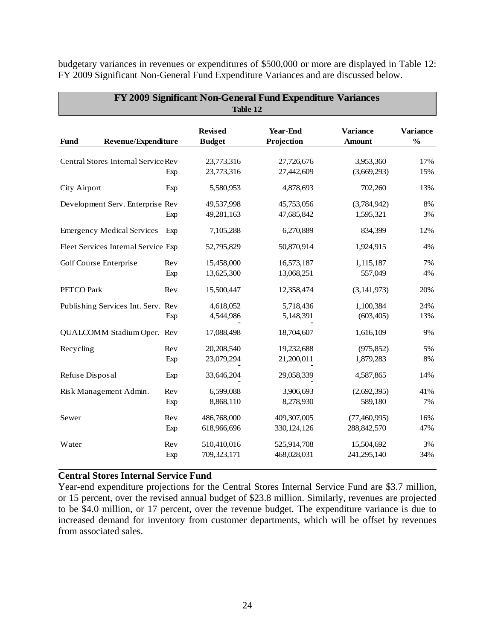| FY 2009 Significant Non-General Fund Expenditure Variances<br>Table 12 |            |                                 |                               |                                  |                                  |  |  |  |  |
|------------------------------------------------------------------------|------------|---------------------------------|-------------------------------|----------------------------------|----------------------------------|--|--|--|--|
| Revenue/Expenditure<br><b>Fund</b>                                     |            | <b>Revised</b><br><b>Budget</b> | <b>Year-End</b><br>Projection | <b>Variance</b><br><b>Amount</b> | <b>Variance</b><br>$\frac{0}{0}$ |  |  |  |  |
| Central Stores Internal Service Rev                                    | Exp        | 23,773,316<br>23,773,316        | 27,726,676<br>27,442,609      | 3,953,360<br>(3,669,293)         | 17%<br>15%                       |  |  |  |  |
| City Airport                                                           | Exp        | 5,580,953                       | 4,878,693                     | 702,260                          | 13%                              |  |  |  |  |
| Development Serv. Enterprise Rev                                       | Exp        | 49,537,998<br>49,281,163        | 45,753,056<br>47,685,842      | (3,784,942)<br>1,595,321         | 8%<br>3%                         |  |  |  |  |
| <b>Emergency Medical Services</b>                                      | Exp        | 7,105,288                       | 6,270,889                     | 834,399                          | 12%                              |  |  |  |  |
| Fleet Services Internal Service Exp                                    |            | 52,795,829                      | 50,870,914                    | 1,924,915                        | 4%                               |  |  |  |  |
| Golf Course Enterprise                                                 | Rev<br>Exp | 15,458,000<br>13,625,300        | 16,573,187<br>13,068,251      | 1,115,187<br>557,049             | 7%<br>4%                         |  |  |  |  |
| PETCO Park                                                             | Rev        | 15,500,447                      | 12,358,474                    | (3, 141, 973)                    | 20%                              |  |  |  |  |
| Publishing Services Int. Serv. Rev                                     | Exp        | 4,618,052<br>4,544,986          | 5,718,436<br>5,148,391        | 1,100,384<br>(603, 405)          | 24%<br>13%                       |  |  |  |  |
| QUALCOMM Stadium Oper. Rev                                             |            | 17,088,498                      | 18,704,607                    | 1,616,109                        | 9%                               |  |  |  |  |
| Recycling                                                              | Rev<br>Exp | 20,208,540<br>23,079,294        | 19,232,688<br>21,200,011      | (975, 852)<br>1,879,283          | 5%<br>8%                         |  |  |  |  |
| Refuse Disposal                                                        | Exp        | 33,646,204                      | 29,058,339                    | 4,587,865                        | 14%                              |  |  |  |  |
| Risk Management Admin.                                                 | Rev<br>Exp | 6,599,088<br>8,868,110          | 3,906,693<br>8,278,930        | (2,692,395)<br>589,180           | 41%<br>7%                        |  |  |  |  |
| Sewer                                                                  | Rev<br>Exp | 486,768,000<br>618,966,696      | 409,307,005<br>330, 124, 126  | (77, 460, 995)<br>288, 842, 570  | 16%<br>47%                       |  |  |  |  |
| Water                                                                  | Rev<br>Exp | 510,410,016<br>709,323,171      | 525,914,708<br>468,028,031    | 15,504,692<br>241,295,140        | 3%<br>34%                        |  |  |  |  |

budgetary variances in revenues or expenditures of \$500,000 or more are displayed in Table 12: FY 2009 Significant Non-General Fund Expenditure Variances and are discussed below.

#### **Central Stores Internal Service Fund**

Year-end expenditure projections for the Central Stores Internal Service Fund are \$3.7 million, or 15 percent, over the revised annual budget of \$23.8 million. Similarly, revenues are projected to be \$4.0 million, or 17 percent, over the revenue budget. The expenditure variance is due to increased demand for inventory from customer departments, which will be offset by revenues from associated sales.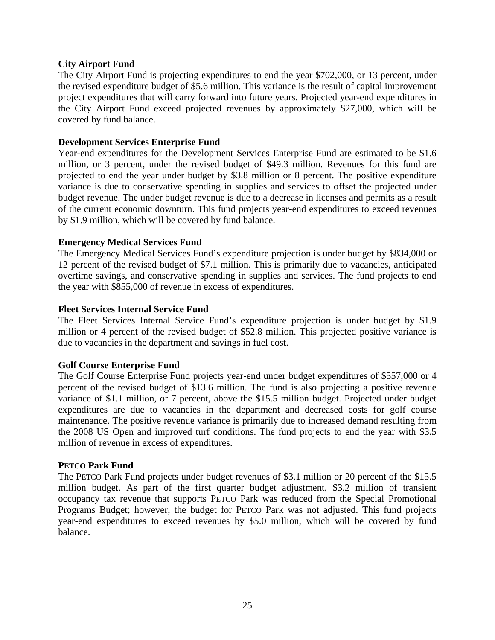#### **City Airport Fund**

The City Airport Fund is projecting expenditures to end the year \$702,000, or 13 percent, under the revised expenditure budget of \$5.6 million. This variance is the result of capital improvement project expenditures that will carry forward into future years. Projected year-end expenditures in the City Airport Fund exceed projected revenues by approximately \$27,000, which will be covered by fund balance.

#### **Development Services Enterprise Fund**

Year-end expenditures for the Development Services Enterprise Fund are estimated to be \$1.6 million, or 3 percent, under the revised budget of \$49.3 million. Revenues for this fund are projected to end the year under budget by \$3.8 million or 8 percent. The positive expenditure variance is due to conservative spending in supplies and services to offset the projected under budget revenue. The under budget revenue is due to a decrease in licenses and permits as a result of the current economic downturn. This fund projects year-end expenditures to exceed revenues by \$1.9 million, which will be covered by fund balance.

#### **Emergency Medical Services Fund**

The Emergency Medical Services Fund's expenditure projection is under budget by \$834,000 or 12 percent of the revised budget of \$7.1 million. This is primarily due to vacancies, anticipated overtime savings, and conservative spending in supplies and services. The fund projects to end the year with \$855,000 of revenue in excess of expenditures.

#### **Fleet Services Internal Service Fund**

The Fleet Services Internal Service Fund's expenditure projection is under budget by \$1.9 million or 4 percent of the revised budget of \$52.8 million. This projected positive variance is due to vacancies in the department and savings in fuel cost.

### **Golf Course Enterprise Fund**

The Golf Course Enterprise Fund projects year-end under budget expenditures of \$557,000 or 4 percent of the revised budget of \$13.6 million. The fund is also projecting a positive revenue variance of \$1.1 million, or 7 percent, above the \$15.5 million budget. Projected under budget expenditures are due to vacancies in the department and decreased costs for golf course maintenance. The positive revenue variance is primarily due to increased demand resulting from the 2008 US Open and improved turf conditions. The fund projects to end the year with \$3.5 million of revenue in excess of expenditures.

#### **PETCO Park Fund**

The PETCO Park Fund projects under budget revenues of \$3.1 million or 20 percent of the \$15.5 million budget. As part of the first quarter budget adjustment, \$3.2 million of transient occupancy tax revenue that supports PETCO Park was reduced from the Special Promotional Programs Budget; however, the budget for PETCO Park was not adjusted. This fund projects year-end expenditures to exceed revenues by \$5.0 million, which will be covered by fund balance.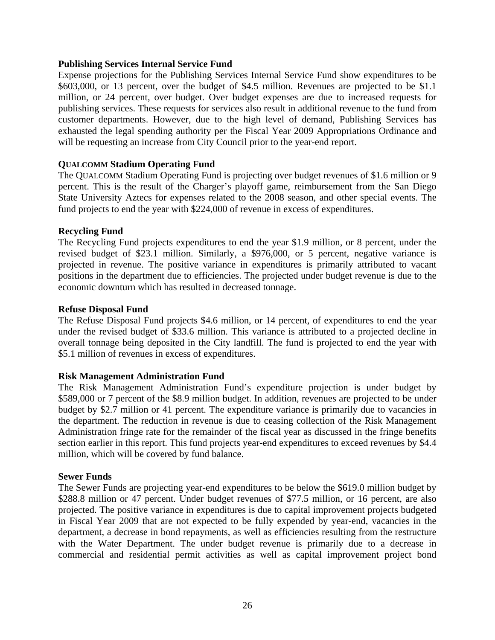### **Publishing Services Internal Service Fund**

Expense projections for the Publishing Services Internal Service Fund show expenditures to be \$603,000, or 13 percent, over the budget of \$4.5 million. Revenues are projected to be \$1.1 million, or 24 percent, over budget. Over budget expenses are due to increased requests for publishing services. These requests for services also result in additional revenue to the fund from customer departments. However, due to the high level of demand, Publishing Services has exhausted the legal spending authority per the Fiscal Year 2009 Appropriations Ordinance and will be requesting an increase from City Council prior to the year-end report.

### **QUALCOMM Stadium Operating Fund**

The QUALCOMM Stadium Operating Fund is projecting over budget revenues of \$1.6 million or 9 percent. This is the result of the Charger's playoff game, reimbursement from the San Diego State University Aztecs for expenses related to the 2008 season, and other special events. The fund projects to end the year with \$224,000 of revenue in excess of expenditures.

### **Recycling Fund**

The Recycling Fund projects expenditures to end the year \$1.9 million, or 8 percent, under the revised budget of \$23.1 million. Similarly, a \$976,000, or 5 percent, negative variance is projected in revenue. The positive variance in expenditures is primarily attributed to vacant positions in the department due to efficiencies. The projected under budget revenue is due to the economic downturn which has resulted in decreased tonnage.

### **Refuse Disposal Fund**

The Refuse Disposal Fund projects \$4.6 million, or 14 percent, of expenditures to end the year under the revised budget of \$33.6 million. This variance is attributed to a projected decline in overall tonnage being deposited in the City landfill. The fund is projected to end the year with \$5.1 million of revenues in excess of expenditures.

### **Risk Management Administration Fund**

The Risk Management Administration Fund's expenditure projection is under budget by \$589,000 or 7 percent of the \$8.9 million budget. In addition, revenues are projected to be under budget by \$2.7 million or 41 percent. The expenditure variance is primarily due to vacancies in the department. The reduction in revenue is due to ceasing collection of the Risk Management Administration fringe rate for the remainder of the fiscal year as discussed in the fringe benefits section earlier in this report. This fund projects year-end expenditures to exceed revenues by \$4.4 million, which will be covered by fund balance.

### **Sewer Funds**

The Sewer Funds are projecting year-end expenditures to be below the \$619.0 million budget by \$288.8 million or 47 percent. Under budget revenues of \$77.5 million, or 16 percent, are also projected. The positive variance in expenditures is due to capital improvement projects budgeted in Fiscal Year 2009 that are not expected to be fully expended by year-end, vacancies in the department, a decrease in bond repayments, as well as efficiencies resulting from the restructure with the Water Department. The under budget revenue is primarily due to a decrease in commercial and residential permit activities as well as capital improvement project bond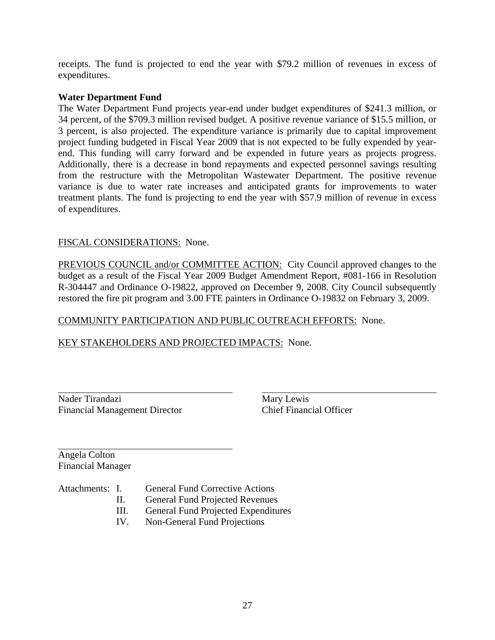receipts. The fund is projected to end the year with \$79.2 million of revenues in excess of expenditures.

#### **Water Department Fund**

The Water Department Fund projects year-end under budget expenditures of \$241.3 million, or 34 percent, of the \$709.3 million revised budget. A positive revenue variance of \$15.5 million, or 3 percent, is also projected. The expenditure variance is primarily due to capital improvement project funding budgeted in Fiscal Year 2009 that is not expected to be fully expended by yearend. This funding will carry forward and be expended in future years as projects progress. Additionally, there is a decrease in bond repayments and expected personnel savings resulting from the restructure with the Metropolitan Wastewater Department. The positive revenue variance is due to water rate increases and anticipated grants for improvements to water treatment plants. The fund is projecting to end the year with \$57.9 million of revenue in excess of expenditures.

### FISCAL CONSIDERATIONS: None.

PREVIOUS COUNCIL and/or COMMITTEE ACTION: City Council approved changes to the budget as a result of the Fiscal Year 2009 Budget Amendment Report, #081-166 in Resolution R-304447 and Ordinance O-19822, approved on December 9, 2008. City Council subsequently restored the fire pit program and 3.00 FTE painters in Ordinance O-19832 on February 3, 2009.

### COMMUNITY PARTICIPATION AND PUBLIC OUTREACH EFFORTS: None.

### KEY STAKEHOLDERS AND PROJECTED IMPACTS: None.

| Nader Tirandazi                      |
|--------------------------------------|
| <b>Financial Management Director</b> |

Mary Lewis Chief Financial Officer

Angela Colton Financial Manager

Attachments: I. General Fund Corrective Actions

- II. General Fund Projected Revenues
- $III.$ General Fund Projected Expenditures
- IV. Non-General Fund Projections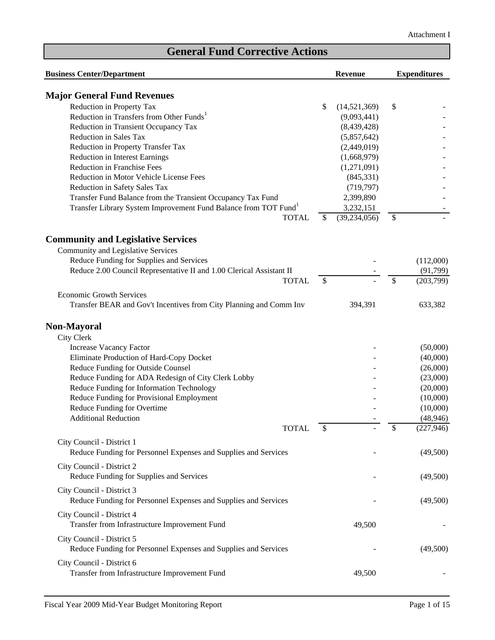| <b>Business Center/Department</b>                                           |               | <b>Revenue</b> | <b>Expenditures</b> |            |
|-----------------------------------------------------------------------------|---------------|----------------|---------------------|------------|
| <b>Major General Fund Revenues</b>                                          |               |                |                     |            |
| Reduction in Property Tax                                                   | \$            | (14,521,369)   | \$                  |            |
| Reduction in Transfers from Other Funds <sup>1</sup>                        |               | (9,093,441)    |                     |            |
|                                                                             |               |                |                     |            |
| Reduction in Transient Occupancy Tax                                        |               | (8,439,428)    |                     |            |
| Reduction in Sales Tax                                                      |               | (5,857,642)    |                     |            |
| Reduction in Property Transfer Tax                                          |               | (2,449,019)    |                     |            |
| Reduction in Interest Earnings                                              |               | (1,668,979)    |                     |            |
| Reduction in Franchise Fees                                                 |               | (1,271,091)    |                     |            |
| Reduction in Motor Vehicle License Fees                                     |               | (845, 331)     |                     |            |
| Reduction in Safety Sales Tax                                               |               | (719, 797)     |                     |            |
| Transfer Fund Balance from the Transient Occupancy Tax Fund                 |               | 2,399,890      |                     |            |
| Transfer Library System Improvement Fund Balance from TOT Fund <sup>1</sup> |               | 3,232,151      |                     |            |
| <b>TOTAL</b>                                                                | $\mathcal{S}$ | (39, 234, 056) | \$                  |            |
| <b>Community and Legislative Services</b>                                   |               |                |                     |            |
| Community and Legislative Services                                          |               |                |                     |            |
| Reduce Funding for Supplies and Services                                    |               |                |                     | (112,000)  |
| Reduce 2.00 Council Representative II and 1.00 Clerical Assistant II        |               |                |                     | (91,799)   |
| <b>TOTAL</b>                                                                | $\mathcal{S}$ |                | \$                  | (203,799)  |
|                                                                             |               |                |                     |            |
| <b>Economic Growth Services</b>                                             |               |                |                     |            |
| Transfer BEAR and Gov't Incentives from City Planning and Comm Inv          |               | 394,391        |                     | 633,382    |
| <b>Non-Mayoral</b>                                                          |               |                |                     |            |
| City Clerk                                                                  |               |                |                     |            |
| <b>Increase Vacancy Factor</b>                                              |               |                |                     | (50,000)   |
| Eliminate Production of Hard-Copy Docket                                    |               |                |                     | (40,000)   |
| Reduce Funding for Outside Counsel                                          |               |                |                     | (26,000)   |
| Reduce Funding for ADA Redesign of City Clerk Lobby                         |               |                |                     | (23,000)   |
| Reduce Funding for Information Technology                                   |               |                |                     |            |
|                                                                             |               |                |                     | (20,000)   |
| Reduce Funding for Provisional Employment                                   |               |                |                     | (10,000)   |
| Reduce Funding for Overtime                                                 |               |                |                     | (10,000)   |
| <b>Additional Reduction</b>                                                 |               |                |                     | (48, 946)  |
| <b>TOTAL</b>                                                                | \$            |                | <sup>2</sup>        | (227, 946) |
| City Council - District 1                                                   |               |                |                     |            |
| Reduce Funding for Personnel Expenses and Supplies and Services             |               |                |                     | (49,500)   |
| City Council - District 2                                                   |               |                |                     |            |
| Reduce Funding for Supplies and Services                                    |               |                |                     | (49,500)   |
|                                                                             |               |                |                     |            |
| City Council - District 3                                                   |               |                |                     |            |
| Reduce Funding for Personnel Expenses and Supplies and Services             |               |                |                     | (49,500)   |
| City Council - District 4                                                   |               |                |                     |            |
| Transfer from Infrastructure Improvement Fund                               |               | 49,500         |                     |            |
|                                                                             |               |                |                     |            |
| City Council - District 5                                                   |               |                |                     |            |
| Reduce Funding for Personnel Expenses and Supplies and Services             |               |                |                     | (49,500)   |
| City Council - District 6                                                   |               |                |                     |            |
| Transfer from Infrastructure Improvement Fund                               |               | 49,500         |                     |            |
|                                                                             |               |                |                     |            |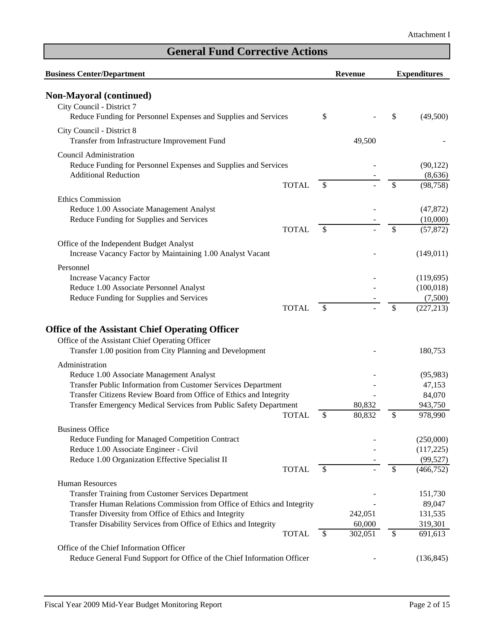| <b>Business Center/Department</b>                                                                         |                           | <b>Revenue</b> | <b>Expenditures</b> |
|-----------------------------------------------------------------------------------------------------------|---------------------------|----------------|---------------------|
| <b>Non-Mayoral (continued)</b>                                                                            |                           |                |                     |
| City Council - District 7                                                                                 |                           |                |                     |
| Reduce Funding for Personnel Expenses and Supplies and Services                                           | \$                        |                | \$<br>(49,500)      |
| City Council - District 8                                                                                 |                           |                |                     |
| Transfer from Infrastructure Improvement Fund                                                             |                           | 49,500         |                     |
| <b>Council Administration</b>                                                                             |                           |                |                     |
| Reduce Funding for Personnel Expenses and Supplies and Services                                           |                           |                | (90, 122)           |
| <b>Additional Reduction</b>                                                                               |                           |                | (8,636)             |
| <b>TOTAL</b>                                                                                              | S                         |                | \$<br>(98, 758)     |
| <b>Ethics Commission</b>                                                                                  |                           |                |                     |
| Reduce 1.00 Associate Management Analyst                                                                  |                           |                | (47, 872)           |
| Reduce Funding for Supplies and Services                                                                  |                           |                | (10,000)            |
| <b>TOTAL</b>                                                                                              | \$                        |                | \$<br>(57, 872)     |
| Office of the Independent Budget Analyst                                                                  |                           |                |                     |
| Increase Vacancy Factor by Maintaining 1.00 Analyst Vacant                                                |                           |                | (149, 011)          |
| Personnel                                                                                                 |                           |                |                     |
| <b>Increase Vacancy Factor</b>                                                                            |                           |                | (119, 695)          |
| Reduce 1.00 Associate Personnel Analyst                                                                   |                           |                | (100, 018)          |
| Reduce Funding for Supplies and Services                                                                  |                           |                | (7,500)             |
| <b>TOTAL</b>                                                                                              | \$                        |                | \$<br>(227, 213)    |
|                                                                                                           |                           |                |                     |
| <b>Office of the Assistant Chief Operating Officer</b><br>Office of the Assistant Chief Operating Officer |                           |                |                     |
| Transfer 1.00 position from City Planning and Development                                                 |                           |                | 180,753             |
|                                                                                                           |                           |                |                     |
| Administration                                                                                            |                           |                |                     |
| Reduce 1.00 Associate Management Analyst<br>Transfer Public Information from Customer Services Department |                           |                | (95, 983)<br>47,153 |
| Transfer Citizens Review Board from Office of Ethics and Integrity                                        |                           |                | 84,070              |
| Transfer Emergency Medical Services from Public Safety Department                                         |                           | 80,832         | 943,750             |
| <b>TOTAL</b>                                                                                              | \$                        | 80,832         | \$<br>978,990       |
| <b>Business Office</b>                                                                                    |                           |                |                     |
| Reduce Funding for Managed Competition Contract                                                           |                           |                | (250,000)           |
| Reduce 1.00 Associate Engineer - Civil                                                                    |                           |                | (117,225)           |
| Reduce 1.00 Organization Effective Specialist II                                                          |                           |                | (99, 527)           |
| <b>TOTAL</b>                                                                                              | \$                        |                | \$<br>(466, 752)    |
| Human Resources                                                                                           |                           |                |                     |
| <b>Transfer Training from Customer Services Department</b>                                                |                           |                | 151,730             |
| Transfer Human Relations Commission from Office of Ethics and Integrity                                   |                           |                | 89,047              |
| Transfer Diversity from Office of Ethics and Integrity                                                    |                           | 242,051        | 131,535             |
| Transfer Disability Services from Office of Ethics and Integrity                                          |                           | 60,000         | 319,301             |
| <b>TOTAL</b>                                                                                              | $\boldsymbol{\mathsf{S}}$ | 302,051        | \$<br>691,613       |
| Office of the Chief Information Officer                                                                   |                           |                |                     |
| Reduce General Fund Support for Office of the Chief Information Officer                                   |                           |                | (136, 845)          |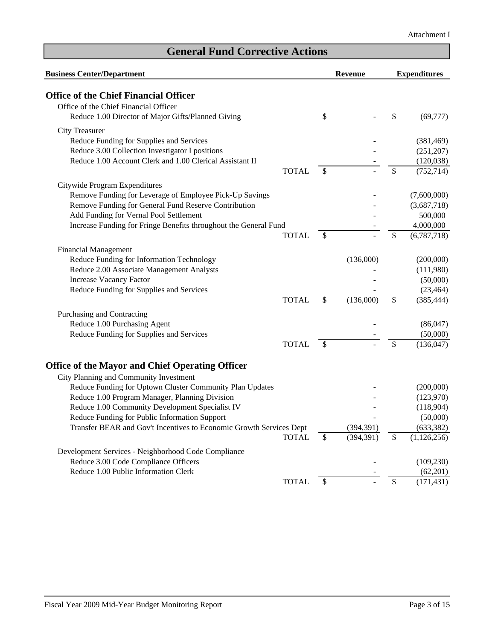| <b>Business Center/Department</b>                                   |              |               | Revenue    | <b>Expenditures</b> |
|---------------------------------------------------------------------|--------------|---------------|------------|---------------------|
| <b>Office of the Chief Financial Officer</b>                        |              |               |            |                     |
| Office of the Chief Financial Officer                               |              |               |            |                     |
| Reduce 1.00 Director of Major Gifts/Planned Giving                  |              | \$            |            | \$<br>(69, 777)     |
| <b>City Treasurer</b>                                               |              |               |            |                     |
| Reduce Funding for Supplies and Services                            |              |               |            | (381, 469)          |
| Reduce 3.00 Collection Investigator I positions                     |              |               |            | (251, 207)          |
| Reduce 1.00 Account Clerk and 1.00 Clerical Assistant II            |              |               |            | (120, 038)          |
|                                                                     | <b>TOTAL</b> | $\mathcal{S}$ |            | \$<br>(752, 714)    |
| Citywide Program Expenditures                                       |              |               |            |                     |
| Remove Funding for Leverage of Employee Pick-Up Savings             |              |               |            | (7,600,000)         |
| Remove Funding for General Fund Reserve Contribution                |              |               |            | (3,687,718)         |
| Add Funding for Vernal Pool Settlement                              |              |               |            | 500,000             |
| Increase Funding for Fringe Benefits throughout the General Fund    |              |               |            | 4,000,000           |
|                                                                     | <b>TOTAL</b> | \$            |            | \$<br>(6,787,718)   |
| <b>Financial Management</b>                                         |              |               |            |                     |
| Reduce Funding for Information Technology                           |              |               | (136,000)  | (200,000)           |
| Reduce 2.00 Associate Management Analysts                           |              |               |            | (111,980)           |
| <b>Increase Vacancy Factor</b>                                      |              |               |            | (50,000)            |
| Reduce Funding for Supplies and Services                            |              |               |            | (23, 464)           |
|                                                                     | <b>TOTAL</b> | $\mathcal{S}$ | (136,000)  | \$<br>(385, 444)    |
| Purchasing and Contracting                                          |              |               |            |                     |
| Reduce 1.00 Purchasing Agent                                        |              |               |            | (86,047)            |
| Reduce Funding for Supplies and Services                            |              |               |            | (50,000)            |
|                                                                     | <b>TOTAL</b> | \$            |            | \$<br>(136, 047)    |
| <b>Office of the Mayor and Chief Operating Officer</b>              |              |               |            |                     |
| City Planning and Community Investment                              |              |               |            |                     |
| Reduce Funding for Uptown Cluster Community Plan Updates            |              |               |            | (200,000)           |
| Reduce 1.00 Program Manager, Planning Division                      |              |               |            | (123,970)           |
| Reduce 1.00 Community Development Specialist IV                     |              |               |            | (118,904)           |
| Reduce Funding for Public Information Support                       |              |               |            | (50,000)            |
| Transfer BEAR and Gov't Incentives to Economic Growth Services Dept |              |               | (394, 391) | (633, 382)          |
|                                                                     | <b>TOTAL</b> | $\mathbb{S}$  | (394, 391) | \$<br>(1, 126, 256) |
| Development Services - Neighborhood Code Compliance                 |              |               |            |                     |
| Reduce 3.00 Code Compliance Officers                                |              |               |            | (109, 230)          |
| Reduce 1.00 Public Information Clerk                                |              |               |            | (62,201)            |
|                                                                     | <b>TOTAL</b> | \$            |            | \$<br>(171, 431)    |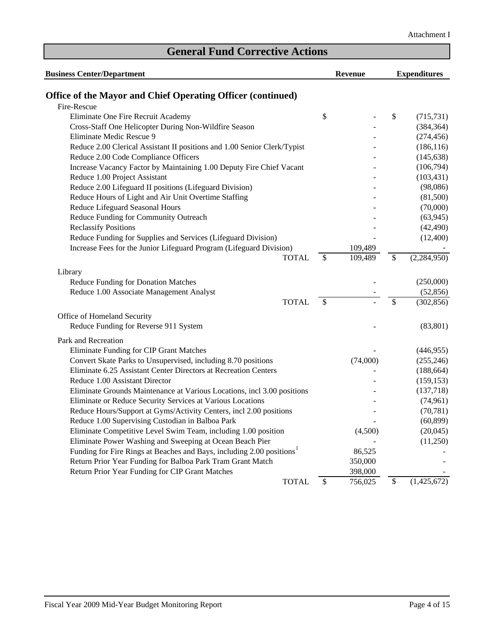| <b>Business Center/Department</b>                                                 | <b>Revenue</b> | <b>Expenditures</b> |               |  |
|-----------------------------------------------------------------------------------|----------------|---------------------|---------------|--|
| <b>Office of the Mayor and Chief Operating Officer (continued)</b>                |                |                     |               |  |
| Fire-Rescue                                                                       |                |                     |               |  |
| Eliminate One Fire Recruit Academy                                                | \$             | \$                  | (715, 731)    |  |
| Cross-Staff One Helicopter During Non-Wildfire Season                             |                |                     | (384, 364)    |  |
| Eliminate Medic Rescue 9                                                          |                |                     | (274, 456)    |  |
| Reduce 2.00 Clerical Assistant II positions and 1.00 Senior Clerk/Typist          |                |                     | (186, 116)    |  |
| Reduce 2.00 Code Compliance Officers                                              |                |                     | (145, 638)    |  |
| Increase Vacancy Factor by Maintaining 1.00 Deputy Fire Chief Vacant              |                |                     | (106,794)     |  |
| Reduce 1.00 Project Assistant                                                     |                |                     | (103, 431)    |  |
| Reduce 2.00 Lifeguard II positions (Lifeguard Division)                           |                |                     | (98,086)      |  |
| Reduce Hours of Light and Air Unit Overtime Staffing                              |                |                     | (81,500)      |  |
| Reduce Lifeguard Seasonal Hours                                                   |                |                     | (70,000)      |  |
| Reduce Funding for Community Outreach                                             |                |                     | (63, 945)     |  |
| <b>Reclassify Positions</b>                                                       |                |                     | (42, 490)     |  |
| Reduce Funding for Supplies and Services (Lifeguard Division)                     |                |                     | (12,400)      |  |
| Increase Fees for the Junior Lifeguard Program (Lifeguard Division)               | 109,489        |                     |               |  |
| <b>TOTAL</b>                                                                      | \$<br>109,489  | \$                  | (2, 284, 950) |  |
| Library                                                                           |                |                     |               |  |
| <b>Reduce Funding for Donation Matches</b>                                        |                |                     | (250,000)     |  |
| Reduce 1.00 Associate Management Analyst                                          |                |                     | (52, 856)     |  |
| <b>TOTAL</b>                                                                      | \$             | \$                  | (302, 856)    |  |
| Office of Homeland Security                                                       |                |                     |               |  |
| Reduce Funding for Reverse 911 System                                             |                |                     | (83, 801)     |  |
| Park and Recreation                                                               |                |                     |               |  |
| Eliminate Funding for CIP Grant Matches                                           |                |                     | (446, 955)    |  |
| Convert Skate Parks to Unsupervised, including 8.70 positions                     | (74,000)       |                     | (255, 246)    |  |
| Eliminate 6.25 Assistant Center Directors at Recreation Centers                   |                |                     | (188, 664)    |  |
| Reduce 1.00 Assistant Director                                                    |                |                     | (159, 153)    |  |
| Eliminate Grounds Maintenance at Various Locations, incl 3.00 positions           |                |                     | (137,718)     |  |
| Eliminate or Reduce Security Services at Various Locations                        |                |                     | (74, 961)     |  |
| Reduce Hours/Support at Gyms/Activity Centers, incl 2.00 positions                |                |                     | (70, 781)     |  |
| Reduce 1.00 Supervising Custodian in Balboa Park                                  |                |                     | (60, 899)     |  |
| Eliminate Competitive Level Swim Team, including 1.00 position                    | (4,500)        |                     | (20,045)      |  |
| Eliminate Power Washing and Sweeping at Ocean Beach Pier                          |                |                     | (11,250)      |  |
| Funding for Fire Rings at Beaches and Bays, including 2.00 positions <sup>1</sup> | 86,525         |                     |               |  |
| Return Prior Year Funding for Balboa Park Tram Grant Match                        | 350,000        |                     |               |  |
| Return Prior Year Funding for CIP Grant Matches                                   | 398,000        |                     |               |  |
| <b>TOTAL</b>                                                                      | \$<br>756,025  | \$                  | (1,425,672)   |  |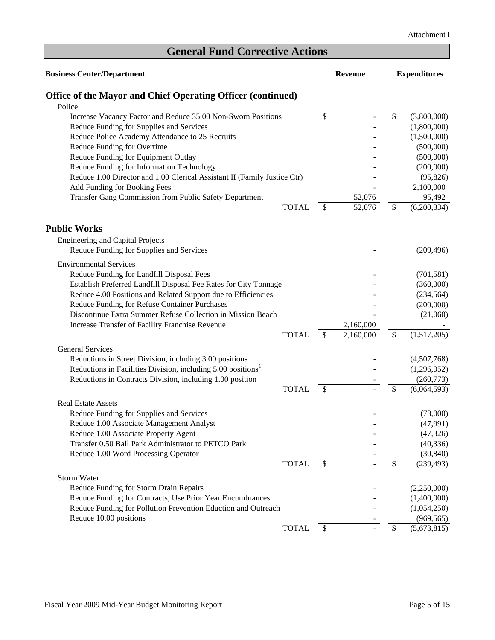| <b>Business Center/Department</b>                                        |              |                           | Revenue   |      | <b>Expenditures</b> |  |  |
|--------------------------------------------------------------------------|--------------|---------------------------|-----------|------|---------------------|--|--|
| Office of the Mayor and Chief Operating Officer (continued)              |              |                           |           |      |                     |  |  |
| Police                                                                   |              |                           |           |      |                     |  |  |
| Increase Vacancy Factor and Reduce 35.00 Non-Sworn Positions             |              | \$                        |           | \$   | (3,800,000)         |  |  |
| Reduce Funding for Supplies and Services                                 |              |                           |           |      | (1,800,000)         |  |  |
| Reduce Police Academy Attendance to 25 Recruits                          |              |                           |           |      | (1,500,000)         |  |  |
| Reduce Funding for Overtime                                              |              |                           |           |      | (500,000)           |  |  |
| Reduce Funding for Equipment Outlay                                      |              |                           |           |      | (500,000)           |  |  |
| Reduce Funding for Information Technology                                |              |                           |           |      | (200,000)           |  |  |
| Reduce 1.00 Director and 1.00 Clerical Assistant II (Family Justice Ctr) |              |                           |           |      | (95, 826)           |  |  |
| Add Funding for Booking Fees                                             |              |                           |           |      | 2,100,000           |  |  |
| Transfer Gang Commission from Public Safety Department                   |              |                           | 52,076    |      | 95,492              |  |  |
|                                                                          | <b>TOTAL</b> | \$                        | 52,076    | \$   | (6,200,334)         |  |  |
| <b>Public Works</b>                                                      |              |                           |           |      |                     |  |  |
| <b>Engineering and Capital Projects</b>                                  |              |                           |           |      |                     |  |  |
| Reduce Funding for Supplies and Services                                 |              |                           |           |      | (209, 496)          |  |  |
| <b>Environmental Services</b>                                            |              |                           |           |      |                     |  |  |
| Reduce Funding for Landfill Disposal Fees                                |              |                           |           |      | (701, 581)          |  |  |
| Establish Preferred Landfill Disposal Fee Rates for City Tonnage         |              |                           |           |      | (360,000)           |  |  |
| Reduce 4.00 Positions and Related Support due to Efficiencies            |              |                           |           |      | (234, 564)          |  |  |
| Reduce Funding for Refuse Container Purchases                            |              |                           |           |      | (200,000)           |  |  |
| Discontinue Extra Summer Refuse Collection in Mission Beach              |              |                           |           |      | (21,060)            |  |  |
| Increase Transfer of Facility Franchise Revenue                          |              |                           | 2,160,000 |      |                     |  |  |
|                                                                          | <b>TOTAL</b> | \$                        | 2,160,000 | \$   | (1,517,205)         |  |  |
| <b>General Services</b>                                                  |              |                           |           |      |                     |  |  |
| Reductions in Street Division, including 3.00 positions                  |              |                           |           |      | (4,507,768)         |  |  |
| Reductions in Facilities Division, including 5.00 positions <sup>1</sup> |              |                           |           |      | (1,296,052)         |  |  |
| Reductions in Contracts Division, including 1.00 position                |              |                           |           |      | (260,773)           |  |  |
|                                                                          | <b>TOTAL</b> | \$                        |           | \$   | (6,064,593)         |  |  |
| <b>Real Estate Assets</b>                                                |              |                           |           |      |                     |  |  |
| Reduce Funding for Supplies and Services                                 |              |                           |           |      | (73,000)            |  |  |
| Reduce 1.00 Associate Management Analyst                                 |              |                           |           |      | (47,991)            |  |  |
| Reduce 1.00 Associate Property Agent                                     |              |                           |           |      | (47, 326)           |  |  |
| Transfer 0.50 Ball Park Administrator to PETCO Park                      |              |                           |           |      | (40, 336)           |  |  |
| Reduce 1.00 Word Processing Operator                                     |              |                           |           |      | (30, 840)           |  |  |
|                                                                          | <b>TOTAL</b> | $\mathcal{S}$             |           | \$   | (239, 493)          |  |  |
| <b>Storm Water</b>                                                       |              |                           |           |      |                     |  |  |
| Reduce Funding for Storm Drain Repairs                                   |              |                           |           |      | (2,250,000)         |  |  |
| Reduce Funding for Contracts, Use Prior Year Encumbrances                |              |                           |           |      | (1,400,000)         |  |  |
| Reduce Funding for Pollution Prevention Eduction and Outreach            |              |                           |           |      | (1,054,250)         |  |  |
| Reduce 10.00 positions                                                   |              |                           |           |      | (969, 565)          |  |  |
|                                                                          | <b>TOTAL</b> | $\boldsymbol{\mathsf{S}}$ |           | $\$$ | (5,673,815)         |  |  |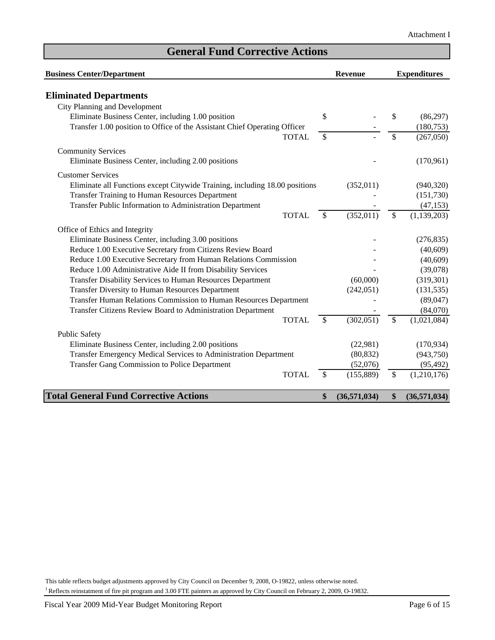| <b>Business Center/Department</b>                                           |                          | <b>Revenue</b> | <b>Expenditures</b> |               |  |
|-----------------------------------------------------------------------------|--------------------------|----------------|---------------------|---------------|--|
| <b>Eliminated Departments</b>                                               |                          |                |                     |               |  |
| City Planning and Development                                               |                          |                |                     |               |  |
| Eliminate Business Center, including 1.00 position                          | \$                       |                | \$                  | (86,297)      |  |
| Transfer 1.00 position to Office of the Assistant Chief Operating Officer   |                          |                |                     | (180, 753)    |  |
| <b>TOTAL</b>                                                                | $\overline{\mathcal{S}}$ |                | \$                  | (267,050)     |  |
| <b>Community Services</b>                                                   |                          |                |                     |               |  |
| Eliminate Business Center, including 2.00 positions                         |                          |                |                     | (170,961)     |  |
| <b>Customer Services</b>                                                    |                          |                |                     |               |  |
| Eliminate all Functions except Citywide Training, including 18.00 positions |                          | (352, 011)     |                     | (940, 320)    |  |
| Transfer Training to Human Resources Department                             |                          |                |                     | (151, 730)    |  |
| Transfer Public Information to Administration Department                    |                          |                |                     | (47, 153)     |  |
| <b>TOTAL</b>                                                                | \$                       | (352, 011)     | \$                  | (1, 139, 203) |  |
| Office of Ethics and Integrity                                              |                          |                |                     |               |  |
| Eliminate Business Center, including 3.00 positions                         |                          |                |                     | (276, 835)    |  |
| Reduce 1.00 Executive Secretary from Citizens Review Board                  |                          |                |                     | (40,609)      |  |
| Reduce 1.00 Executive Secretary from Human Relations Commission             |                          |                |                     | (40, 609)     |  |
| Reduce 1.00 Administrative Aide II from Disability Services                 |                          |                |                     | (39,078)      |  |
| Transfer Disability Services to Human Resources Department                  |                          | (60,000)       |                     | (319, 301)    |  |
| Transfer Diversity to Human Resources Department                            |                          | (242, 051)     |                     | (131, 535)    |  |
| Transfer Human Relations Commission to Human Resources Department           |                          |                |                     | (89, 047)     |  |
| Transfer Citizens Review Board to Administration Department                 |                          |                |                     | (84,070)      |  |
| <b>TOTAL</b>                                                                | \$                       | (302, 051)     | \$                  | (1,021,084)   |  |
| <b>Public Safety</b>                                                        |                          |                |                     |               |  |
| Eliminate Business Center, including 2.00 positions                         |                          | (22,981)       |                     | (170, 934)    |  |
| Transfer Emergency Medical Services to Administration Department            |                          | (80, 832)      |                     | (943,750)     |  |
| Transfer Gang Commission to Police Department                               |                          | (52,076)       |                     | (95, 492)     |  |
| <b>TOTAL</b>                                                                | \$                       | (155, 889)     | \$                  | (1,210,176)   |  |
| <b>Total General Fund Corrective Actions</b>                                | \$                       | (36,571,034)   | \$                  | (36,571,034)  |  |

This table reflects budget adjustments approved by City Council on December 9, 2008, O-19822, unless otherwise noted. <sup>1</sup> Reflects reinstatment of fire pit program and 3.00 FTE painters as approved by City Council on February 2, 2009, O-19832.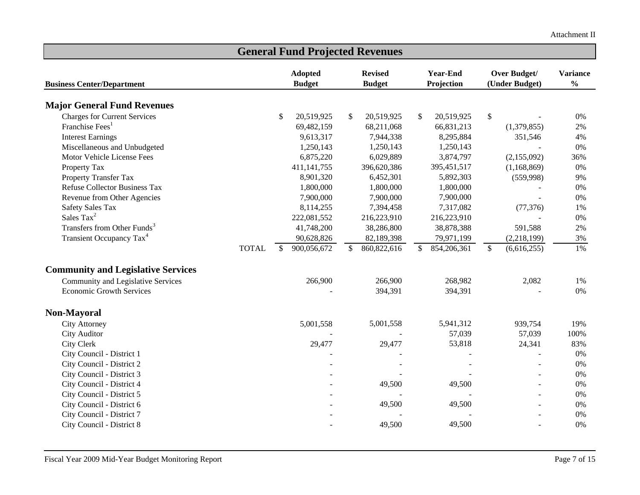| <b>General Fund Projected Revenues</b>    |                               |                |    |                |    |                 |                           |                |                 |  |
|-------------------------------------------|-------------------------------|----------------|----|----------------|----|-----------------|---------------------------|----------------|-----------------|--|
|                                           |                               | <b>Adopted</b> |    | <b>Revised</b> |    | <b>Year-End</b> |                           | Over Budget/   | <b>Variance</b> |  |
| <b>Business Center/Department</b>         |                               | <b>Budget</b>  |    | <b>Budget</b>  |    | Projection      |                           | (Under Budget) | $\frac{0}{0}$   |  |
| <b>Major General Fund Revenues</b>        |                               |                |    |                |    |                 |                           |                |                 |  |
| <b>Charges for Current Services</b>       | \$                            | 20,519,925     | \$ | 20,519,925     | \$ | 20,519,925      | $\boldsymbol{\mathsf{S}}$ |                | $0\%$           |  |
| Franchise Fees <sup>1</sup>               |                               | 69,482,159     |    | 68,211,068     |    | 66,831,213      |                           | (1,379,855)    | 2%              |  |
| <b>Interest Earnings</b>                  |                               | 9,613,317      |    | 7,944,338      |    | 8,295,884       |                           | 351,546        | 4%              |  |
| Miscellaneous and Unbudgeted              |                               | 1,250,143      |    | 1,250,143      |    | 1,250,143       |                           |                | $0\%$           |  |
| Motor Vehicle License Fees                |                               | 6,875,220      |    | 6,029,889      |    | 3,874,797       |                           | (2,155,092)    | 36%             |  |
| Property Tax                              |                               | 411, 141, 755  |    | 396,620,386    |    | 395,451,517     |                           | (1,168,869)    | $0\%$           |  |
| Property Transfer Tax                     |                               | 8,901,320      |    | 6,452,301      |    | 5,892,303       |                           | (559,998)      | 9%              |  |
| <b>Refuse Collector Business Tax</b>      |                               | 1,800,000      |    | 1,800,000      |    | 1,800,000       |                           |                | $0\%$           |  |
| Revenue from Other Agencies               |                               | 7,900,000      |    | 7,900,000      |    | 7,900,000       |                           |                | $0\%$           |  |
| <b>Safety Sales Tax</b>                   |                               | 8,114,255      |    | 7,394,458      |    | 7,317,082       |                           | (77, 376)      | 1%              |  |
| Sales Tax <sup>2</sup>                    |                               | 222,081,552    |    | 216,223,910    |    | 216,223,910     |                           |                | $0\%$           |  |
| Transfers from Other Funds <sup>3</sup>   |                               | 41,748,200     |    | 38,286,800     |    | 38,878,388      |                           | 591,588        | $2\%$           |  |
| Transient Occupancy Tax <sup>4</sup>      |                               | 90,628,826     |    | 82,189,398     |    | 79,971,199      |                           | (2,218,199)    | 3%              |  |
|                                           | <b>TOTAL</b><br><sup>\$</sup> | 900,056,672    | \$ | 860, 822, 616  | \$ | 854,206,361     | $\mathbb{S}$              | (6,616,255)    | 1%              |  |
| <b>Community and Legislative Services</b> |                               |                |    |                |    |                 |                           |                |                 |  |
| Community and Legislative Services        |                               | 266,900        |    | 266,900        |    | 268,982         |                           | 2,082          | 1%              |  |
| <b>Economic Growth Services</b>           |                               |                |    | 394,391        |    | 394,391         |                           |                | 0%              |  |
| <b>Non-Mayoral</b>                        |                               |                |    |                |    |                 |                           |                |                 |  |
| City Attorney                             |                               | 5,001,558      |    | 5,001,558      |    | 5,941,312       |                           | 939,754        | 19%             |  |
| <b>City Auditor</b>                       |                               |                |    |                |    | 57,039          |                           | 57,039         | 100%            |  |
| <b>City Clerk</b>                         |                               | 29,477         |    | 29,477         |    | 53,818          |                           | 24,341         | 83%             |  |
| City Council - District 1                 |                               |                |    |                |    |                 |                           |                | $0\%$           |  |
| City Council - District 2                 |                               |                |    |                |    |                 |                           | $\blacksquare$ | $0\%$           |  |
| City Council - District 3                 |                               |                |    |                |    |                 |                           |                | 0%              |  |
| City Council - District 4                 |                               |                |    | 49,500         |    | 49,500          |                           | $\sim$         | $0\%$           |  |
| City Council - District 5                 |                               |                |    |                |    |                 |                           |                | $0\%$           |  |
| City Council - District 6                 |                               |                |    | 49,500         |    | 49,500          |                           |                | 0%              |  |
| City Council - District 7                 |                               |                |    |                |    |                 |                           |                | $0\%$           |  |
| City Council - District 8                 |                               |                |    | 49,500         |    | 49,500          |                           |                | $0\%$           |  |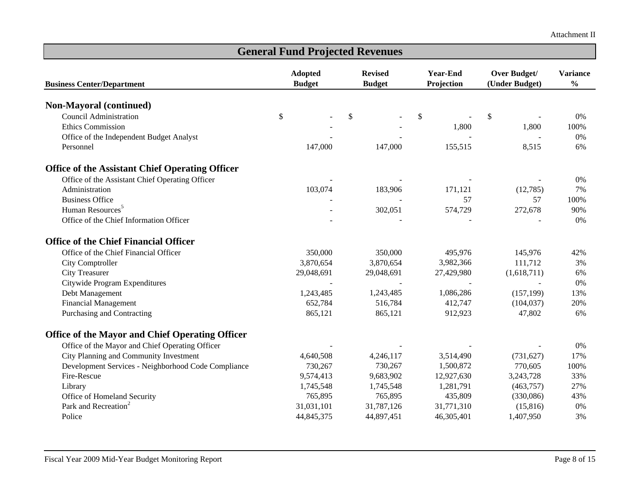| <b>General Fund Projected Revenues</b>                 |                                 |                                                                  |            |                                |                                  |  |  |  |  |  |
|--------------------------------------------------------|---------------------------------|------------------------------------------------------------------|------------|--------------------------------|----------------------------------|--|--|--|--|--|
| <b>Business Center/Department</b>                      | <b>Adopted</b><br><b>Budget</b> | <b>Year-End</b><br><b>Revised</b><br>Projection<br><b>Budget</b> |            | Over Budget/<br>(Under Budget) | <b>Variance</b><br>$\frac{0}{0}$ |  |  |  |  |  |
| Non-Mayoral (continued)                                |                                 |                                                                  |            |                                |                                  |  |  |  |  |  |
| <b>Council Administration</b>                          | \$                              | \$                                                               | \$         | \$                             | 0%                               |  |  |  |  |  |
| <b>Ethics Commission</b>                               |                                 |                                                                  | 1,800      | 1,800                          | 100%                             |  |  |  |  |  |
| Office of the Independent Budget Analyst               |                                 |                                                                  |            |                                | 0%                               |  |  |  |  |  |
| Personnel                                              | 147,000                         | 147,000                                                          | 155,515    | 8,515                          | 6%                               |  |  |  |  |  |
| <b>Office of the Assistant Chief Operating Officer</b> |                                 |                                                                  |            |                                |                                  |  |  |  |  |  |
| Office of the Assistant Chief Operating Officer        |                                 |                                                                  |            |                                | 0%                               |  |  |  |  |  |
| Administration                                         | 103,074                         | 183,906                                                          | 171,121    | (12,785)                       | 7%                               |  |  |  |  |  |
| <b>Business Office</b>                                 |                                 |                                                                  | 57         | 57                             | 100%                             |  |  |  |  |  |
| Human Resources <sup>5</sup>                           |                                 | 302,051                                                          | 574,729    | 272,678                        | 90%                              |  |  |  |  |  |
| Office of the Chief Information Officer                |                                 |                                                                  |            |                                | 0%                               |  |  |  |  |  |
| <b>Office of the Chief Financial Officer</b>           |                                 |                                                                  |            |                                |                                  |  |  |  |  |  |
| Office of the Chief Financial Officer                  | 350,000                         | 350,000                                                          | 495,976    | 145,976                        | 42%                              |  |  |  |  |  |
| City Comptroller                                       | 3,870,654                       | 3,870,654                                                        | 3,982,366  | 111,712                        | 3%                               |  |  |  |  |  |
| <b>City Treasurer</b>                                  | 29,048,691                      | 29,048,691                                                       | 27,429,980 | (1,618,711)                    | 6%                               |  |  |  |  |  |
| Citywide Program Expenditures                          |                                 |                                                                  |            |                                | 0%                               |  |  |  |  |  |
| Debt Management                                        | 1,243,485                       | 1,243,485                                                        | 1,086,286  | (157, 199)                     | 13%                              |  |  |  |  |  |
| <b>Financial Management</b>                            | 652,784                         | 516,784                                                          | 412,747    | (104, 037)                     | 20%                              |  |  |  |  |  |
| Purchasing and Contracting                             | 865,121                         | 865,121                                                          | 912,923    | 47,802                         | 6%                               |  |  |  |  |  |
| <b>Office of the Mayor and Chief Operating Officer</b> |                                 |                                                                  |            |                                |                                  |  |  |  |  |  |
| Office of the Mayor and Chief Operating Officer        |                                 |                                                                  |            |                                | 0%                               |  |  |  |  |  |
| City Planning and Community Investment                 | 4,640,508                       | 4,246,117                                                        | 3,514,490  | (731, 627)                     | 17%                              |  |  |  |  |  |
| Development Services - Neighborhood Code Compliance    | 730,267                         | 730,267                                                          | 1,500,872  | 770,605                        | 100%                             |  |  |  |  |  |
| Fire-Rescue                                            | 9,574,413                       | 9,683,902                                                        | 12,927,630 | 3,243,728                      | 33%                              |  |  |  |  |  |
| Library                                                | 1,745,548                       | 1,745,548                                                        | 1,281,791  | (463,757)                      | 27%                              |  |  |  |  |  |
| Office of Homeland Security                            | 765,895                         | 765,895                                                          | 435,809    | (330,086)                      | 43%                              |  |  |  |  |  |
| Park and Recreation <sup>2</sup>                       | 31,031,101                      | 31,787,126                                                       | 31,771,310 | (15, 816)                      | 0%                               |  |  |  |  |  |
| Police                                                 | 44,845,375                      | 44,897,451                                                       | 46,305,401 | 1,407,950                      | 3%                               |  |  |  |  |  |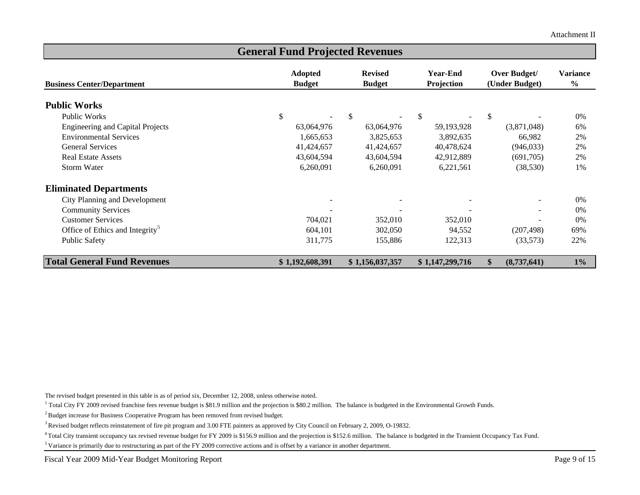Attachment II

| <b>General Fund Projected Revenues</b>      |                                 |                                 |                               |                                       |                           |  |  |  |  |  |
|---------------------------------------------|---------------------------------|---------------------------------|-------------------------------|---------------------------------------|---------------------------|--|--|--|--|--|
| <b>Business Center/Department</b>           | <b>Adopted</b><br><b>Budget</b> | <b>Revised</b><br><b>Budget</b> | <b>Year-End</b><br>Projection | <b>Over Budget/</b><br>(Under Budget) | Variance<br>$\frac{6}{6}$ |  |  |  |  |  |
| <b>Public Works</b>                         |                                 |                                 |                               |                                       |                           |  |  |  |  |  |
| Public Works                                | \$                              | $\mathcal{S}$                   | \$                            | $\mathcal{S}$                         | 0%                        |  |  |  |  |  |
| <b>Engineering and Capital Projects</b>     | 63,064,976                      | 63,064,976                      | 59,193,928                    | (3,871,048)                           | 6%                        |  |  |  |  |  |
| <b>Environmental Services</b>               | 1,665,653                       | 3,825,653                       | 3,892,635                     | 66,982                                | 2%                        |  |  |  |  |  |
| <b>General Services</b>                     | 41,424,657                      | 41,424,657                      | 40,478,624                    | (946, 033)                            | 2%                        |  |  |  |  |  |
| <b>Real Estate Assets</b>                   | 43,604,594                      | 43,604,594                      | 42,912,889                    | (691,705)                             | 2%                        |  |  |  |  |  |
| <b>Storm Water</b>                          | 6,260,091                       | 6,260,091                       | 6,221,561                     | (38, 530)                             | 1%                        |  |  |  |  |  |
| <b>Eliminated Departments</b>               |                                 |                                 |                               |                                       |                           |  |  |  |  |  |
| City Planning and Development               |                                 |                                 |                               |                                       | 0%                        |  |  |  |  |  |
| <b>Community Services</b>                   |                                 |                                 |                               | $\sim$                                | 0%                        |  |  |  |  |  |
| <b>Customer Services</b>                    | 704,021                         | 352,010                         | 352,010                       |                                       | 0%                        |  |  |  |  |  |
| Office of Ethics and Integrity <sup>5</sup> | 604,101                         | 302,050                         | 94,552                        | (207, 498)                            | 69%                       |  |  |  |  |  |
| <b>Public Safety</b>                        | 311,775                         | 155,886                         | 122,313                       | (33,573)                              | 22%                       |  |  |  |  |  |
| <b>Total General Fund Revenues</b>          | \$1,192,608,391                 | \$1,156,037,357                 | \$1,147,299,716               | $\mathbf{\$}$<br>(8,737,641)          | $1\%$                     |  |  |  |  |  |

The revised budget presented in this table is as of period six, December 12, 2008, unless otherwise noted.

<sup>1</sup> Total City FY 2009 revised franchise fees revenue budget is \$81.9 million and the projection is \$80.2 million. The balance is budgeted in the Environmental Growth Funds.

<sup>2</sup> Budget increase for Business Cooperative Program has been removed from revised budget.

3 Revised budget reflects reinstatement of fire pit program and 3.00 FTE painters as approved by City Council on February 2, 2009, O-19832.

<sup>4</sup> Total City transient occupancy tax revised revenue budget for FY 2009 is \$156.9 million and the projection is \$152.6 million. The balance is budgeted in the Transient Occupancy Tax Fund.

<sup>5</sup> Variance is primarily due to restructuring as part of the FY 2009 corrective actions and is offset by a variance in another department.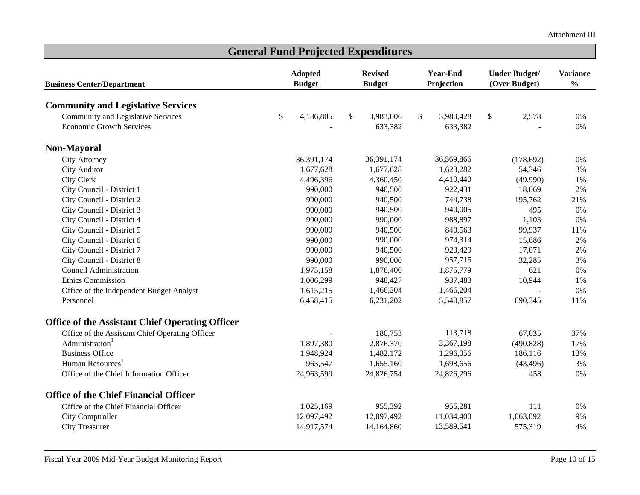| <b>Year-End</b><br><b>Variance</b><br><b>Adopted</b><br><b>Revised</b><br><b>Under Budget/</b><br>$\frac{0}{0}$<br>Projection<br><b>Budget</b><br>(Over Budget)<br><b>Business Center/Department</b><br><b>Budget</b><br><b>Community and Legislative Services</b><br>Community and Legislative Services<br>\$<br>4,186,805<br>\$<br>3,983,006<br>3,980,428<br>\$<br>2,578<br>\$<br>0%<br><b>Economic Growth Services</b><br>633,382<br>633,382<br>$0\%$<br>Non-Mayoral<br><b>City Attorney</b><br>36,391,174<br>36,391,174<br>36,569,866<br>(178, 692)<br>$0\%$<br><b>City Auditor</b><br>1,677,628<br>1,677,628<br>1,623,282<br>54,346<br>3%<br>City Clerk<br>4,360,450<br>4,410,440<br>4,496,396<br>(49,990)<br>1%<br>922,431<br>18,069<br>2%<br>City Council - District 1<br>990,000<br>940,500<br>City Council - District 2<br>744,738<br>990,000<br>940,500<br>195,762<br>21%<br>City Council - District 3<br>940,005<br>495<br>990,000<br>940,500<br>$0\%$<br>990,000<br>988,897<br>City Council - District 4<br>990,000<br>1,103<br>0%<br>840,563<br>City Council - District 5<br>990,000<br>99,937<br>11%<br>940,500<br>974,314<br>City Council - District 6<br>990,000<br>990,000<br>15,686<br>2% | <b>General Fund Projected Expenditures</b> |  |         |  |         |  |         |  |        |       |  |
|-------------------------------------------------------------------------------------------------------------------------------------------------------------------------------------------------------------------------------------------------------------------------------------------------------------------------------------------------------------------------------------------------------------------------------------------------------------------------------------------------------------------------------------------------------------------------------------------------------------------------------------------------------------------------------------------------------------------------------------------------------------------------------------------------------------------------------------------------------------------------------------------------------------------------------------------------------------------------------------------------------------------------------------------------------------------------------------------------------------------------------------------------------------------------------------------------------------|--------------------------------------------|--|---------|--|---------|--|---------|--|--------|-------|--|
|                                                                                                                                                                                                                                                                                                                                                                                                                                                                                                                                                                                                                                                                                                                                                                                                                                                                                                                                                                                                                                                                                                                                                                                                             |                                            |  |         |  |         |  |         |  |        |       |  |
|                                                                                                                                                                                                                                                                                                                                                                                                                                                                                                                                                                                                                                                                                                                                                                                                                                                                                                                                                                                                                                                                                                                                                                                                             |                                            |  |         |  |         |  |         |  |        |       |  |
|                                                                                                                                                                                                                                                                                                                                                                                                                                                                                                                                                                                                                                                                                                                                                                                                                                                                                                                                                                                                                                                                                                                                                                                                             |                                            |  |         |  |         |  |         |  |        |       |  |
|                                                                                                                                                                                                                                                                                                                                                                                                                                                                                                                                                                                                                                                                                                                                                                                                                                                                                                                                                                                                                                                                                                                                                                                                             |                                            |  |         |  |         |  |         |  |        |       |  |
|                                                                                                                                                                                                                                                                                                                                                                                                                                                                                                                                                                                                                                                                                                                                                                                                                                                                                                                                                                                                                                                                                                                                                                                                             |                                            |  |         |  |         |  |         |  |        |       |  |
|                                                                                                                                                                                                                                                                                                                                                                                                                                                                                                                                                                                                                                                                                                                                                                                                                                                                                                                                                                                                                                                                                                                                                                                                             |                                            |  |         |  |         |  |         |  |        |       |  |
|                                                                                                                                                                                                                                                                                                                                                                                                                                                                                                                                                                                                                                                                                                                                                                                                                                                                                                                                                                                                                                                                                                                                                                                                             |                                            |  |         |  |         |  |         |  |        |       |  |
|                                                                                                                                                                                                                                                                                                                                                                                                                                                                                                                                                                                                                                                                                                                                                                                                                                                                                                                                                                                                                                                                                                                                                                                                             |                                            |  |         |  |         |  |         |  |        |       |  |
|                                                                                                                                                                                                                                                                                                                                                                                                                                                                                                                                                                                                                                                                                                                                                                                                                                                                                                                                                                                                                                                                                                                                                                                                             |                                            |  |         |  |         |  |         |  |        |       |  |
|                                                                                                                                                                                                                                                                                                                                                                                                                                                                                                                                                                                                                                                                                                                                                                                                                                                                                                                                                                                                                                                                                                                                                                                                             |                                            |  |         |  |         |  |         |  |        |       |  |
|                                                                                                                                                                                                                                                                                                                                                                                                                                                                                                                                                                                                                                                                                                                                                                                                                                                                                                                                                                                                                                                                                                                                                                                                             |                                            |  |         |  |         |  |         |  |        |       |  |
|                                                                                                                                                                                                                                                                                                                                                                                                                                                                                                                                                                                                                                                                                                                                                                                                                                                                                                                                                                                                                                                                                                                                                                                                             |                                            |  |         |  |         |  |         |  |        |       |  |
|                                                                                                                                                                                                                                                                                                                                                                                                                                                                                                                                                                                                                                                                                                                                                                                                                                                                                                                                                                                                                                                                                                                                                                                                             |                                            |  |         |  |         |  |         |  |        |       |  |
|                                                                                                                                                                                                                                                                                                                                                                                                                                                                                                                                                                                                                                                                                                                                                                                                                                                                                                                                                                                                                                                                                                                                                                                                             |                                            |  |         |  |         |  |         |  |        |       |  |
|                                                                                                                                                                                                                                                                                                                                                                                                                                                                                                                                                                                                                                                                                                                                                                                                                                                                                                                                                                                                                                                                                                                                                                                                             |                                            |  |         |  |         |  |         |  |        |       |  |
|                                                                                                                                                                                                                                                                                                                                                                                                                                                                                                                                                                                                                                                                                                                                                                                                                                                                                                                                                                                                                                                                                                                                                                                                             | City Council - District 7                  |  | 990,000 |  | 940,500 |  | 923,429 |  | 17,071 | $2\%$ |  |
| 957,715<br>City Council - District 8<br>990,000<br>990,000<br>32,285<br>3%                                                                                                                                                                                                                                                                                                                                                                                                                                                                                                                                                                                                                                                                                                                                                                                                                                                                                                                                                                                                                                                                                                                                  |                                            |  |         |  |         |  |         |  |        |       |  |
| <b>Council Administration</b><br>1,975,158<br>1,876,400<br>1,875,779<br>621<br>$0\%$                                                                                                                                                                                                                                                                                                                                                                                                                                                                                                                                                                                                                                                                                                                                                                                                                                                                                                                                                                                                                                                                                                                        |                                            |  |         |  |         |  |         |  |        |       |  |
| 937,483<br>10,944<br><b>Ethics Commission</b><br>1,006,299<br>948,427<br>1%                                                                                                                                                                                                                                                                                                                                                                                                                                                                                                                                                                                                                                                                                                                                                                                                                                                                                                                                                                                                                                                                                                                                 |                                            |  |         |  |         |  |         |  |        |       |  |
| 1,466,204<br>1,466,204<br>0%<br>Office of the Independent Budget Analyst<br>1,615,215                                                                                                                                                                                                                                                                                                                                                                                                                                                                                                                                                                                                                                                                                                                                                                                                                                                                                                                                                                                                                                                                                                                       |                                            |  |         |  |         |  |         |  |        |       |  |
| 5,540,857<br>Personnel<br>6,458,415<br>6,231,202<br>690,345<br>11%                                                                                                                                                                                                                                                                                                                                                                                                                                                                                                                                                                                                                                                                                                                                                                                                                                                                                                                                                                                                                                                                                                                                          |                                            |  |         |  |         |  |         |  |        |       |  |
| <b>Office of the Assistant Chief Operating Officer</b>                                                                                                                                                                                                                                                                                                                                                                                                                                                                                                                                                                                                                                                                                                                                                                                                                                                                                                                                                                                                                                                                                                                                                      |                                            |  |         |  |         |  |         |  |        |       |  |
| Office of the Assistant Chief Operating Officer<br>180,753<br>113,718<br>67,035<br>37%                                                                                                                                                                                                                                                                                                                                                                                                                                                                                                                                                                                                                                                                                                                                                                                                                                                                                                                                                                                                                                                                                                                      |                                            |  |         |  |         |  |         |  |        |       |  |
| Administration<br>1,897,380<br>2,876,370<br>3,367,198<br>(490, 828)<br>17%                                                                                                                                                                                                                                                                                                                                                                                                                                                                                                                                                                                                                                                                                                                                                                                                                                                                                                                                                                                                                                                                                                                                  |                                            |  |         |  |         |  |         |  |        |       |  |
| <b>Business Office</b><br>1,482,172<br>186,116<br>1,948,924<br>1,296,056<br>13%                                                                                                                                                                                                                                                                                                                                                                                                                                                                                                                                                                                                                                                                                                                                                                                                                                                                                                                                                                                                                                                                                                                             |                                            |  |         |  |         |  |         |  |        |       |  |
| Human Resources <sup>1</sup><br>963,547<br>1,655,160<br>1,698,656<br>3%<br>(43, 496)                                                                                                                                                                                                                                                                                                                                                                                                                                                                                                                                                                                                                                                                                                                                                                                                                                                                                                                                                                                                                                                                                                                        |                                            |  |         |  |         |  |         |  |        |       |  |
| Office of the Chief Information Officer<br>24,963,599<br>24,826,754<br>458<br>$0\%$<br>24,826,296                                                                                                                                                                                                                                                                                                                                                                                                                                                                                                                                                                                                                                                                                                                                                                                                                                                                                                                                                                                                                                                                                                           |                                            |  |         |  |         |  |         |  |        |       |  |
| <b>Office of the Chief Financial Officer</b>                                                                                                                                                                                                                                                                                                                                                                                                                                                                                                                                                                                                                                                                                                                                                                                                                                                                                                                                                                                                                                                                                                                                                                |                                            |  |         |  |         |  |         |  |        |       |  |
| Office of the Chief Financial Officer<br>1,025,169<br>955,392<br>955,281<br>111<br>$0\%$                                                                                                                                                                                                                                                                                                                                                                                                                                                                                                                                                                                                                                                                                                                                                                                                                                                                                                                                                                                                                                                                                                                    |                                            |  |         |  |         |  |         |  |        |       |  |
| 1,063,092<br>12,097,492<br>12,097,492<br>11,034,400<br>9%<br>City Comptroller                                                                                                                                                                                                                                                                                                                                                                                                                                                                                                                                                                                                                                                                                                                                                                                                                                                                                                                                                                                                                                                                                                                               |                                            |  |         |  |         |  |         |  |        |       |  |
| 14,164,860<br>13,589,541<br><b>City Treasurer</b><br>14,917,574<br>575,319<br>4%                                                                                                                                                                                                                                                                                                                                                                                                                                                                                                                                                                                                                                                                                                                                                                                                                                                                                                                                                                                                                                                                                                                            |                                            |  |         |  |         |  |         |  |        |       |  |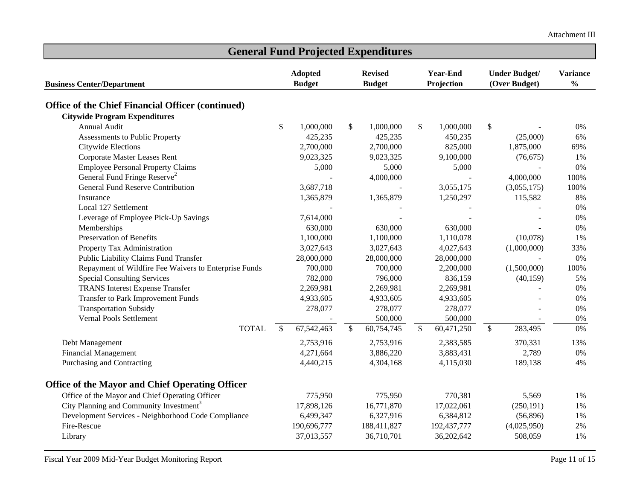| <b>General Fund Projected Expenditures</b>               |               |                |                                   |             |              |                      |                           |                 |               |  |
|----------------------------------------------------------|---------------|----------------|-----------------------------------|-------------|--------------|----------------------|---------------------------|-----------------|---------------|--|
|                                                          |               | <b>Adopted</b> | <b>Year-End</b><br><b>Revised</b> |             |              | <b>Under Budget/</b> |                           | <b>Variance</b> |               |  |
| <b>Business Center/Department</b>                        | <b>Budget</b> |                | <b>Budget</b>                     |             | Projection   |                      |                           | (Over Budget)   | $\frac{0}{0}$ |  |
| <b>Office of the Chief Financial Officer (continued)</b> |               |                |                                   |             |              |                      |                           |                 |               |  |
| <b>Citywide Program Expenditures</b>                     |               |                |                                   |             |              |                      |                           |                 |               |  |
| Annual Audit                                             | \$            | 1,000,000      | \$                                | 1,000,000   | \$           | 1,000,000            | $\boldsymbol{\mathsf{S}}$ |                 | 0%            |  |
| Assessments to Public Property                           |               | 425,235        |                                   | 425,235     |              | 450,235              |                           | (25,000)        | 6%            |  |
| Citywide Elections                                       |               | 2,700,000      |                                   | 2,700,000   |              | 825,000              |                           | 1,875,000       | 69%           |  |
| Corporate Master Leases Rent                             |               | 9,023,325      |                                   | 9,023,325   |              | 9,100,000            |                           | (76, 675)       | 1%            |  |
| <b>Employee Personal Property Claims</b>                 |               | 5,000          |                                   | 5,000       |              | 5,000                |                           |                 | 0%            |  |
| General Fund Fringe Reserve <sup>2</sup>                 |               |                |                                   | 4,000,000   |              |                      |                           | 4,000,000       | 100%          |  |
| <b>General Fund Reserve Contribution</b>                 |               | 3,687,718      |                                   |             |              | 3,055,175            |                           | (3,055,175)     | 100%          |  |
| Insurance                                                |               | 1,365,879      |                                   | 1,365,879   |              | 1,250,297            |                           | 115,582         | 8%            |  |
| Local 127 Settlement                                     |               |                |                                   |             |              |                      |                           |                 | 0%            |  |
| Leverage of Employee Pick-Up Savings                     |               | 7,614,000      |                                   |             |              |                      |                           |                 | 0%            |  |
| Memberships                                              |               | 630,000        |                                   | 630,000     |              | 630,000              |                           |                 | 0%            |  |
| <b>Preservation of Benefits</b>                          |               | 1,100,000      |                                   | 1,100,000   |              | 1,110,078            |                           | (10,078)        | 1%            |  |
| Property Tax Administration                              |               | 3,027,643      |                                   | 3,027,643   |              | 4,027,643            |                           | (1,000,000)     | 33%           |  |
| Public Liability Claims Fund Transfer                    |               | 28,000,000     |                                   | 28,000,000  |              | 28,000,000           |                           |                 | 0%            |  |
| Repayment of Wildfire Fee Waivers to Enterprise Funds    |               | 700,000        |                                   | 700,000     |              | 2,200,000            |                           | (1,500,000)     | 100%          |  |
| <b>Special Consulting Services</b>                       |               | 782,000        |                                   | 796,000     |              | 836,159              |                           | (40, 159)       | 5%            |  |
| <b>TRANS</b> Interest Expense Transfer                   |               | 2,269,981      |                                   | 2,269,981   |              | 2,269,981            |                           |                 | 0%            |  |
| Transfer to Park Improvement Funds                       |               | 4,933,605      |                                   | 4,933,605   |              | 4,933,605            |                           |                 | 0%            |  |
| <b>Transportation Subsidy</b>                            |               | 278,077        |                                   | 278,077     |              | 278,077              |                           |                 | 0%            |  |
| Vernal Pools Settlement                                  |               |                |                                   | 500,000     |              | 500,000              |                           | $\sim$          | 0%            |  |
| <b>TOTAL</b>                                             | $\mathbb{S}$  | 67, 542, 463   | $\mathbb{S}$                      | 60,754,745  | $\mathbb{S}$ | 60,471,250           | $\mathbb{S}$              | 283,495         | 0%            |  |
| Debt Management                                          |               | 2,753,916      |                                   | 2,753,916   |              | 2,383,585            |                           | 370,331         | 13%           |  |
| <b>Financial Management</b>                              |               | 4,271,664      |                                   | 3,886,220   |              | 3,883,431            |                           | 2,789           | 0%            |  |
| Purchasing and Contracting                               |               | 4,440,215      |                                   | 4,304,168   |              | 4,115,030            |                           | 189,138         | 4%            |  |
| <b>Office of the Mayor and Chief Operating Officer</b>   |               |                |                                   |             |              |                      |                           |                 |               |  |
| Office of the Mayor and Chief Operating Officer          |               | 775,950        |                                   | 775,950     |              | 770,381              |                           | 5,569           | 1%            |  |
| City Planning and Community Investment <sup>3</sup>      |               | 17,898,126     |                                   | 16,771,870  |              | 17,022,061           |                           | (250, 191)      | 1%            |  |
| Development Services - Neighborhood Code Compliance      |               | 6,499,347      |                                   | 6,327,916   |              | 6,384,812            |                           | (56,896)        | 1%            |  |
| Fire-Rescue                                              |               | 190,696,777    |                                   | 188,411,827 |              | 192,437,777          |                           | (4,025,950)     | 2%            |  |
| Library                                                  |               | 37,013,557     |                                   | 36,710,701  |              | 36,202,642           |                           | 508,059         | 1%            |  |

Fiscal Year 2009 Mid-Year Budget Monitoring Report Page 11 of 15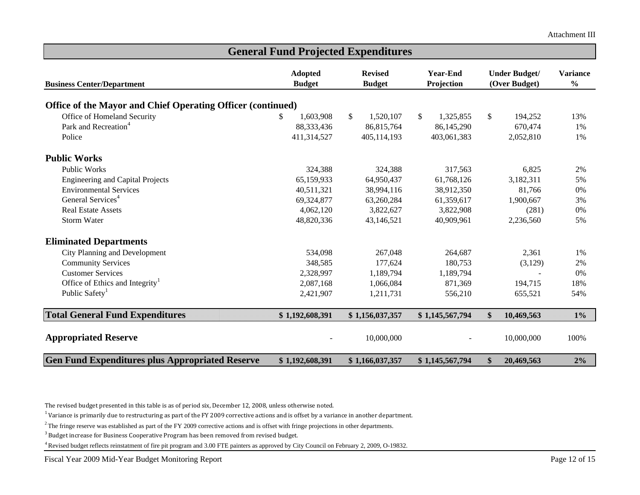|                                                             | <b>Adopted</b>  | <b>Revised</b>  | <b>Year-End</b> | <b>Under Budget/</b><br>(Over Budget) |            | <b>Variance</b><br>$\frac{0}{0}$ |
|-------------------------------------------------------------|-----------------|-----------------|-----------------|---------------------------------------|------------|----------------------------------|
| <b>Business Center/Department</b>                           | <b>Budget</b>   | <b>Budget</b>   | Projection      |                                       |            |                                  |
| Office of the Mayor and Chief Operating Officer (continued) |                 |                 |                 |                                       |            |                                  |
| Office of Homeland Security                                 | 1,603,908<br>S. | \$<br>1,520,107 | 1,325,855<br>\$ | $\mathbb{S}$                          | 194,252    | 13%                              |
| Park and Recreation <sup>4</sup>                            | 88,333,436      | 86,815,764      | 86,145,290      |                                       | 670,474    | 1%                               |
| Police                                                      | 411,314,527     | 405,114,193     | 403,061,383     |                                       | 2,052,810  | 1%                               |
| <b>Public Works</b>                                         |                 |                 |                 |                                       |            |                                  |
| <b>Public Works</b>                                         | 324,388         | 324,388         | 317,563         |                                       | 6,825      | 2%                               |
| <b>Engineering and Capital Projects</b>                     | 65,159,933      | 64,950,437      | 61,768,126      |                                       | 3,182,311  | 5%                               |
| <b>Environmental Services</b>                               | 40,511,321      | 38,994,116      | 38,912,350      |                                       | 81,766     | $0\%$                            |
| General Services <sup>4</sup>                               | 69,324,877      | 63,260,284      | 61,359,617      |                                       | 1,900,667  | 3%                               |
| <b>Real Estate Assets</b>                                   | 4,062,120       | 3,822,627       | 3,822,908       |                                       | (281)      | 0%                               |
| <b>Storm Water</b>                                          | 48,820,336      | 43,146,521      | 40,909,961      |                                       | 2,236,560  | 5%                               |
| <b>Eliminated Departments</b>                               |                 |                 |                 |                                       |            |                                  |
| City Planning and Development                               | 534,098         | 267,048         | 264,687         |                                       | 2,361      | 1%                               |
| <b>Community Services</b>                                   | 348,585         | 177,624         | 180,753         |                                       | (3,129)    | 2%                               |
| <b>Customer Services</b>                                    | 2,328,997       | 1,189,794       | 1,189,794       |                                       |            | 0%                               |
| Office of Ethics and Integrity <sup>1</sup>                 | 2,087,168       | 1,066,084       | 871,369         |                                       | 194,715    | 18%                              |
| Public Safety <sup>1</sup>                                  | 2,421,907       | 1,211,731       | 556,210         |                                       | 655,521    | 54%                              |
| <b>Total General Fund Expenditures</b>                      | \$1,192,608,391 | \$1,156,037,357 | \$1,145,567,794 | \$                                    | 10,469,563 | $1\%$                            |
| <b>Appropriated Reserve</b>                                 |                 | 10,000,000      |                 |                                       | 10,000,000 | 100%                             |
| <b>Gen Fund Expenditures plus Appropriated Reserve</b>      | \$1,192,608,391 | \$1,166,037,357 | \$1,145,567,794 | \$                                    | 20,469,563 | 2%                               |

**General Fund Projected Expenditures** 

The revised budget presented in this table is as of period six, December 12, 2008, unless otherwise noted.

 $1$ Variance is primarily due to restructuring as part of the FY 2009 corrective actions and is offset by a variance in another department.

<sup>2</sup> The fringe reserve was established as part of the FY 2009 corrective actions and is offset with fringe projections in other departments.

<sup>3</sup> Budget increase for Business Cooperative Program has been removed from revised budget.

4 Revised budget reflects reinstatment of fire pit program and 3.00 FTE painters as approved by City Council on February 2, 2009, O-19832.

Fiscal Year 2009 Mid-Year Budget Monitoring Report Page 12 of 15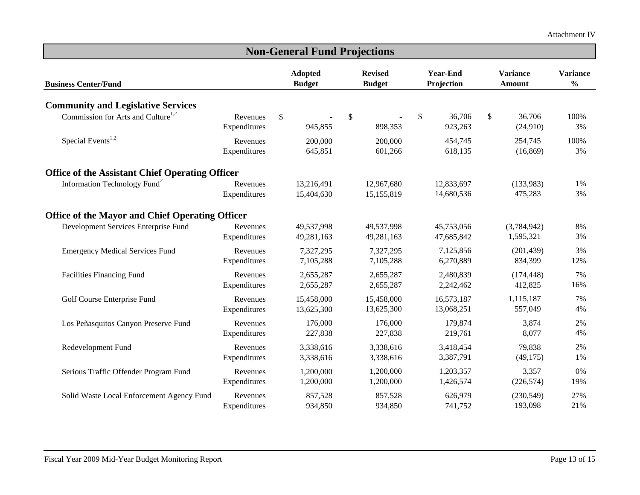| <b>Non-General Fund Projections</b>                    |                          |                                 |                          |                                 |                          |                               |                          |    |                           |                                  |  |
|--------------------------------------------------------|--------------------------|---------------------------------|--------------------------|---------------------------------|--------------------------|-------------------------------|--------------------------|----|---------------------------|----------------------------------|--|
| <b>Business Center/Fund</b>                            |                          | <b>Adopted</b><br><b>Budget</b> |                          | <b>Revised</b><br><b>Budget</b> |                          | <b>Year-End</b><br>Projection |                          |    | <b>Variance</b><br>Amount | <b>Variance</b><br>$\frac{0}{0}$ |  |
| <b>Community and Legislative Services</b>              |                          |                                 |                          |                                 |                          |                               |                          |    |                           |                                  |  |
| Commission for Arts and Culture <sup>1,2</sup>         | Revenues<br>Expenditures | $\mathbb{S}$                    | 945,855                  | \$                              | 898,353                  | \$                            | 36,706<br>923,263        | \$ | 36,706<br>(24,910)        | 100%<br>3%                       |  |
| Special Events $1,2$                                   | Revenues<br>Expenditures |                                 | 200,000<br>645,851       |                                 | 200,000<br>601,266       |                               | 454,745<br>618,135       |    | 254,745<br>(16, 869)      | 100%<br>3%                       |  |
| <b>Office of the Assistant Chief Operating Officer</b> |                          |                                 |                          |                                 |                          |                               |                          |    |                           |                                  |  |
| Information Technology Fund <sup>2</sup>               | Revenues<br>Expenditures |                                 | 13,216,491<br>15,404,630 |                                 | 12,967,680<br>15,155,819 |                               | 12,833,697<br>14,680,536 |    | (133,983)<br>475,283      | 1%<br>3%                         |  |
| <b>Office of the Mayor and Chief Operating Officer</b> |                          |                                 |                          |                                 |                          |                               |                          |    |                           |                                  |  |
| Development Services Enterprise Fund                   | Revenues<br>Expenditures |                                 | 49,537,998<br>49,281,163 |                                 | 49,537,998<br>49,281,163 |                               | 45,753,056<br>47,685,842 |    | (3,784,942)<br>1,595,321  | 8%<br>3%                         |  |
| <b>Emergency Medical Services Fund</b>                 | Revenues<br>Expenditures |                                 | 7,327,295<br>7,105,288   |                                 | 7,327,295<br>7,105,288   |                               | 7,125,856<br>6,270,889   |    | (201, 439)<br>834,399     | 3%<br>12%                        |  |
| <b>Facilities Financing Fund</b>                       | Revenues<br>Expenditures |                                 | 2,655,287<br>2,655,287   |                                 | 2,655,287<br>2,655,287   |                               | 2,480,839<br>2,242,462   |    | (174, 448)<br>412,825     | 7%<br>16%                        |  |
| Golf Course Enterprise Fund                            | Revenues<br>Expenditures |                                 | 15,458,000<br>13,625,300 |                                 | 15,458,000<br>13,625,300 |                               | 16,573,187<br>13,068,251 |    | 1,115,187<br>557,049      | 7%<br>4%                         |  |
| Los Peñasquitos Canyon Preserve Fund                   | Revenues<br>Expenditures |                                 | 176,000<br>227,838       |                                 | 176,000<br>227,838       |                               | 179,874<br>219,761       |    | 3,874<br>8,077            | 2%<br>4%                         |  |
| Redevelopment Fund                                     | Revenues<br>Expenditures |                                 | 3,338,616<br>3,338,616   |                                 | 3,338,616<br>3,338,616   |                               | 3,418,454<br>3,387,791   |    | 79,838<br>(49, 175)       | 2%<br>1%                         |  |
| Serious Traffic Offender Program Fund                  | Revenues<br>Expenditures |                                 | 1,200,000<br>1,200,000   |                                 | 1,200,000<br>1,200,000   |                               | 1,203,357<br>1,426,574   |    | 3,357<br>(226, 574)       | 0%<br>19%                        |  |
| Solid Waste Local Enforcement Agency Fund              | Revenues<br>Expenditures |                                 | 857,528<br>934,850       |                                 | 857,528<br>934,850       |                               | 626,979<br>741,752       |    | (230, 549)<br>193,098     | 27%<br>21%                       |  |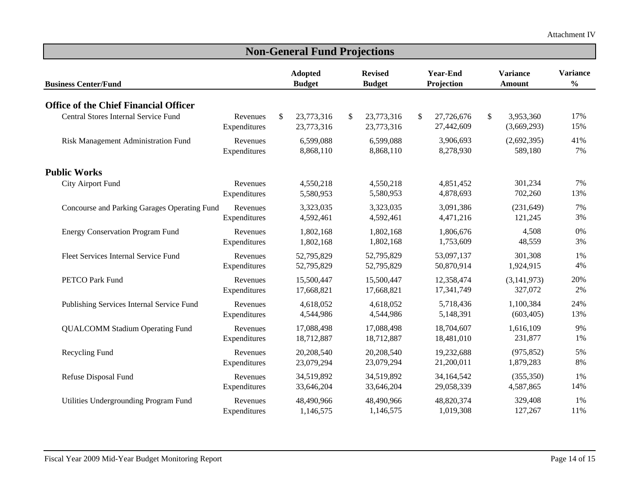| <b>Non-General Fund Projections</b>          |                          |                                 |                          |                                 |                          |                               |                          |                                  |                          |                                  |  |
|----------------------------------------------|--------------------------|---------------------------------|--------------------------|---------------------------------|--------------------------|-------------------------------|--------------------------|----------------------------------|--------------------------|----------------------------------|--|
| <b>Business Center/Fund</b>                  |                          | <b>Adopted</b><br><b>Budget</b> |                          | <b>Revised</b><br><b>Budget</b> |                          | <b>Year-End</b><br>Projection |                          | <b>Variance</b><br><b>Amount</b> |                          | <b>Variance</b><br>$\frac{0}{0}$ |  |
| <b>Office of the Chief Financial Officer</b> |                          |                                 |                          |                                 |                          |                               |                          |                                  |                          |                                  |  |
| Central Stores Internal Service Fund         | Revenues<br>Expenditures | \$                              | 23,773,316<br>23,773,316 | \$                              | 23,773,316<br>23,773,316 | \$                            | 27,726,676<br>27,442,609 | \$                               | 3,953,360<br>(3,669,293) | 17%<br>15%                       |  |
| Risk Management Administration Fund          | Revenues<br>Expenditures |                                 | 6,599,088<br>8,868,110   |                                 | 6,599,088<br>8,868,110   |                               | 3,906,693<br>8,278,930   |                                  | (2,692,395)<br>589,180   | 41%<br>7%                        |  |
| <b>Public Works</b>                          |                          |                                 |                          |                                 |                          |                               |                          |                                  |                          |                                  |  |
| <b>City Airport Fund</b>                     | Revenues<br>Expenditures |                                 | 4,550,218<br>5,580,953   |                                 | 4,550,218<br>5,580,953   |                               | 4,851,452<br>4,878,693   |                                  | 301,234<br>702,260       | 7%<br>13%                        |  |
| Concourse and Parking Garages Operating Fund | Revenues<br>Expenditures |                                 | 3,323,035<br>4,592,461   |                                 | 3,323,035<br>4,592,461   |                               | 3,091,386<br>4,471,216   |                                  | (231, 649)<br>121,245    | 7%<br>3%                         |  |
| <b>Energy Conservation Program Fund</b>      | Revenues<br>Expenditures |                                 | 1,802,168<br>1,802,168   |                                 | 1,802,168<br>1,802,168   |                               | 1,806,676<br>1,753,609   |                                  | 4,508<br>48,559          | 0%<br>3%                         |  |
| Fleet Services Internal Service Fund         | Revenues<br>Expenditures |                                 | 52,795,829<br>52,795,829 |                                 | 52,795,829<br>52,795,829 |                               | 53,097,137<br>50,870,914 |                                  | 301,308<br>1,924,915     | 1%<br>4%                         |  |
| <b>PETCO Park Fund</b>                       | Revenues<br>Expenditures |                                 | 15,500,447<br>17,668,821 |                                 | 15,500,447<br>17,668,821 |                               | 12,358,474<br>17,341,749 |                                  | (3, 141, 973)<br>327,072 | 20%<br>2%                        |  |
| Publishing Services Internal Service Fund    | Revenues<br>Expenditures |                                 | 4,618,052<br>4,544,986   |                                 | 4,618,052<br>4,544,986   |                               | 5,718,436<br>5,148,391   |                                  | 1,100,384<br>(603, 405)  | 24%<br>13%                       |  |
| <b>QUALCOMM Stadium Operating Fund</b>       | Revenues<br>Expenditures |                                 | 17,088,498<br>18,712,887 |                                 | 17,088,498<br>18,712,887 |                               | 18,704,607<br>18,481,010 |                                  | 1,616,109<br>231,877     | 9%<br>1%                         |  |
| Recycling Fund                               | Revenues<br>Expenditures |                                 | 20,208,540<br>23,079,294 |                                 | 20,208,540<br>23,079,294 |                               | 19,232,688<br>21,200,011 |                                  | (975, 852)<br>1,879,283  | 5%<br>8%                         |  |
| Refuse Disposal Fund                         | Revenues<br>Expenditures |                                 | 34,519,892<br>33,646,204 |                                 | 34,519,892<br>33,646,204 |                               | 34,164,542<br>29,058,339 |                                  | (355, 350)<br>4,587,865  | 1%<br>14%                        |  |
| Utilities Undergrounding Program Fund        | Revenues<br>Expenditures |                                 | 48,490,966<br>1,146,575  |                                 | 48,490,966<br>1,146,575  |                               | 48,820,374<br>1,019,308  |                                  | 329,408<br>127,267       | 1%<br>11%                        |  |